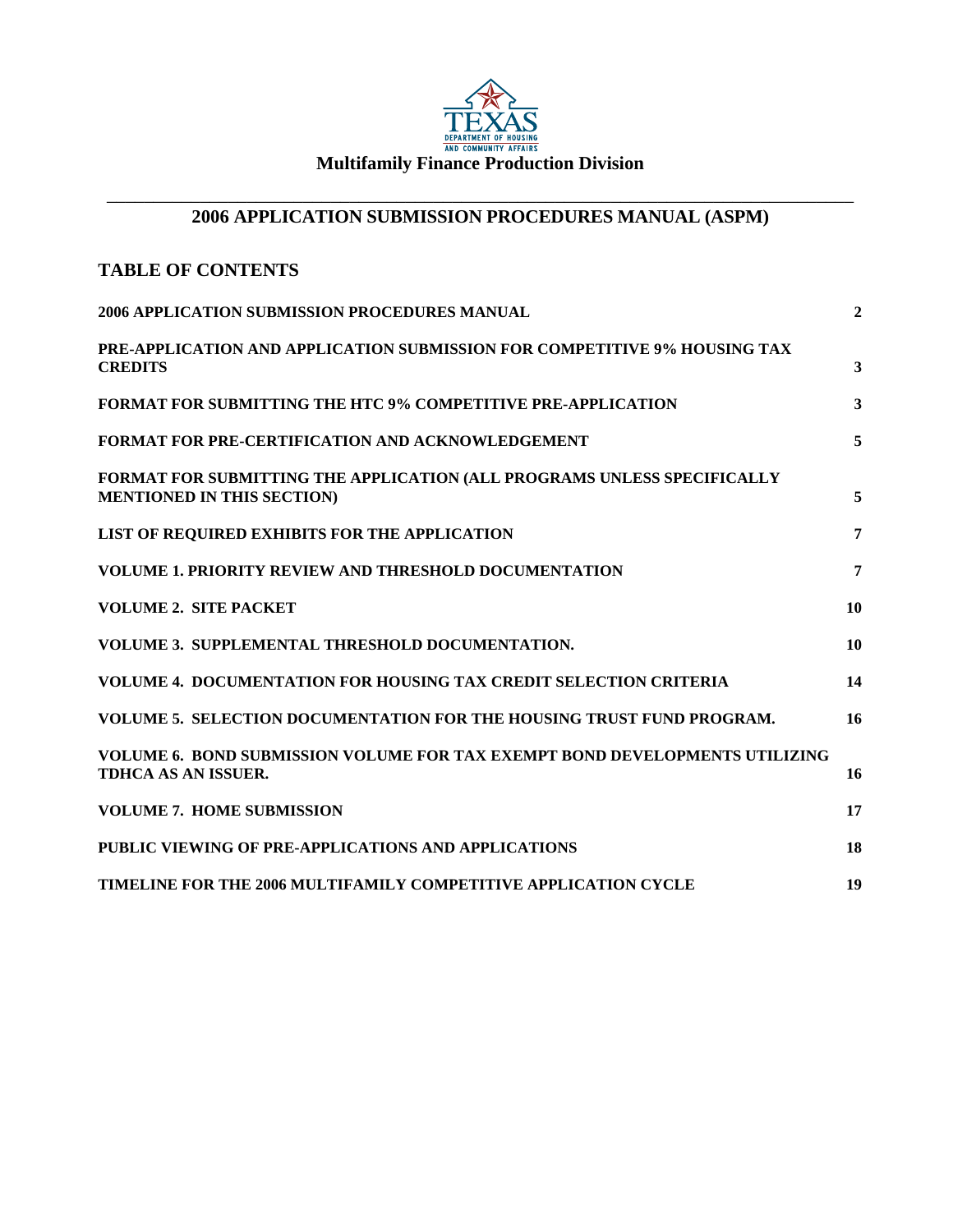

# **Multifamily Finance Production Division**

#### \_\_\_\_\_\_\_\_\_\_\_\_\_\_\_\_\_\_\_\_\_\_\_\_\_\_\_\_\_\_\_\_\_\_\_\_\_\_\_\_\_\_\_\_\_\_\_\_\_\_\_\_\_\_\_\_\_\_\_\_\_\_\_\_\_\_\_\_\_\_\_\_\_\_\_\_\_\_\_\_ **2006 APPLICATION SUBMISSION PROCEDURES MANUAL (ASPM)**

# **TABLE OF CONTENTS**

| 2006 APPLICATION SUBMISSION PROCEDURES MANUAL                                                                    | $\overline{2}$ |
|------------------------------------------------------------------------------------------------------------------|----------------|
| PRE-APPLICATION AND APPLICATION SUBMISSION FOR COMPETITIVE 9% HOUSING TAX<br><b>CREDITS</b>                      | 3              |
| <b>FORMAT FOR SUBMITTING THE HTC 9% COMPETITIVE PRE-APPLICATION</b>                                              | $\mathbf{3}$   |
| <b>FORMAT FOR PRE-CERTIFICATION AND ACKNOWLEDGEMENT</b>                                                          | 5              |
| FORMAT FOR SUBMITTING THE APPLICATION (ALL PROGRAMS UNLESS SPECIFICALLY<br><b>MENTIONED IN THIS SECTION)</b>     | 5              |
| LIST OF REQUIRED EXHIBITS FOR THE APPLICATION                                                                    | 7              |
| <b>VOLUME 1. PRIORITY REVIEW AND THRESHOLD DOCUMENTATION</b>                                                     | $\overline{7}$ |
| <b>VOLUME 2. SITE PACKET</b>                                                                                     | 10             |
| <b>VOLUME 3. SUPPLEMENTAL THRESHOLD DOCUMENTATION.</b>                                                           | 10             |
| <b>VOLUME 4. DOCUMENTATION FOR HOUSING TAX CREDIT SELECTION CRITERIA</b>                                         | 14             |
| VOLUME 5. SELECTION DOCUMENTATION FOR THE HOUSING TRUST FUND PROGRAM.                                            | 16             |
| <b>VOLUME 6. BOND SUBMISSION VOLUME FOR TAX EXEMPT BOND DEVELOPMENTS UTILIZING</b><br><b>TDHCA AS AN ISSUER.</b> | 16             |
| <b>VOLUME 7. HOME SUBMISSION</b>                                                                                 | 17             |
| PUBLIC VIEWING OF PRE-APPLICATIONS AND APPLICATIONS                                                              | 18             |
| <b>TIMELINE FOR THE 2006 MULTIFAMILY COMPETITIVE APPLICATION CYCLE</b>                                           | 19             |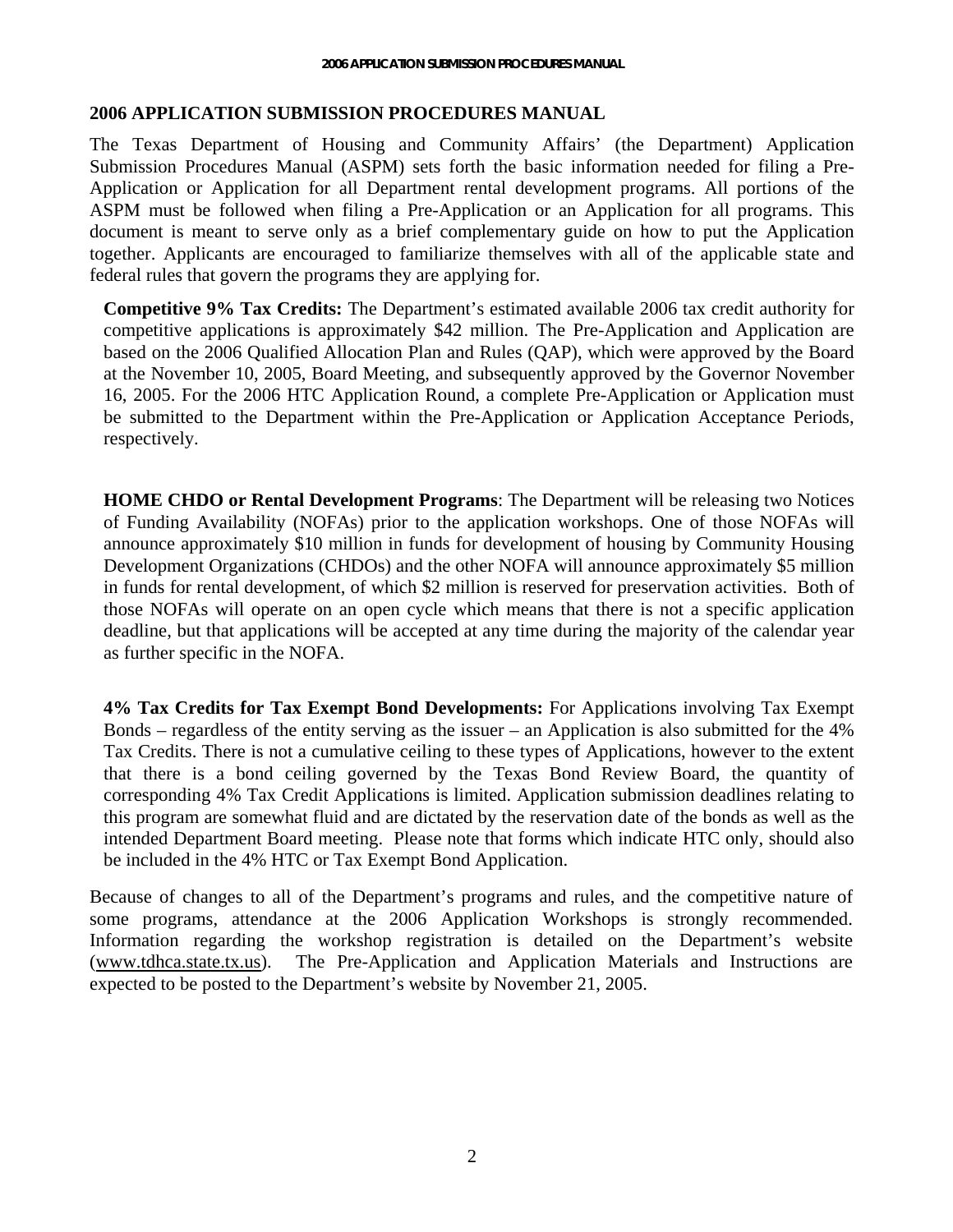#### <span id="page-1-0"></span>**2006 APPLICATION SUBMISSION PROCEDURES MANUAL**

The Texas Department of Housing and Community Affairs' (the Department) Application Submission Procedures Manual (ASPM) sets forth the basic information needed for filing a Pre-Application or Application for all Department rental development programs. All portions of the ASPM must be followed when filing a Pre-Application or an Application for all programs. This document is meant to serve only as a brief complementary guide on how to put the Application together. Applicants are encouraged to familiarize themselves with all of the applicable state and federal rules that govern the programs they are applying for.

**Competitive 9% Tax Credits:** The Department's estimated available 2006 tax credit authority for competitive applications is approximately \$42 million. The Pre-Application and Application are based on the 2006 Qualified Allocation Plan and Rules (QAP), which were approved by the Board at the November 10, 2005, Board Meeting, and subsequently approved by the Governor November 16, 2005. For the 2006 HTC Application Round, a complete Pre-Application or Application must be submitted to the Department within the Pre-Application or Application Acceptance Periods, respectively.

**HOME CHDO or Rental Development Programs**: The Department will be releasing two Notices of Funding Availability (NOFAs) prior to the application workshops. One of those NOFAs will announce approximately \$10 million in funds for development of housing by Community Housing Development Organizations (CHDOs) and the other NOFA will announce approximately \$5 million in funds for rental development, of which \$2 million is reserved for preservation activities. Both of those NOFAs will operate on an open cycle which means that there is not a specific application deadline, but that applications will be accepted at any time during the majority of the calendar year as further specific in the NOFA.

**4% Tax Credits for Tax Exempt Bond Developments:** For Applications involving Tax Exempt Bonds – regardless of the entity serving as the issuer – an Application is also submitted for the 4% Tax Credits. There is not a cumulative ceiling to these types of Applications, however to the extent that there is a bond ceiling governed by the Texas Bond Review Board, the quantity of corresponding 4% Tax Credit Applications is limited. Application submission deadlines relating to this program are somewhat fluid and are dictated by the reservation date of the bonds as well as the intended Department Board meeting. Please note that forms which indicate HTC only, should also be included in the 4% HTC or Tax Exempt Bond Application.

Because of changes to all of the Department's programs and rules, and the competitive nature of some programs, attendance at the 2006 Application Workshops is strongly recommended. Information regarding the workshop registration is detailed on the Department's website (www.tdhca.state.tx.us). The Pre-Application and Application Materials and Instructions are expected to be posted to the Department's website by November 21, 2005.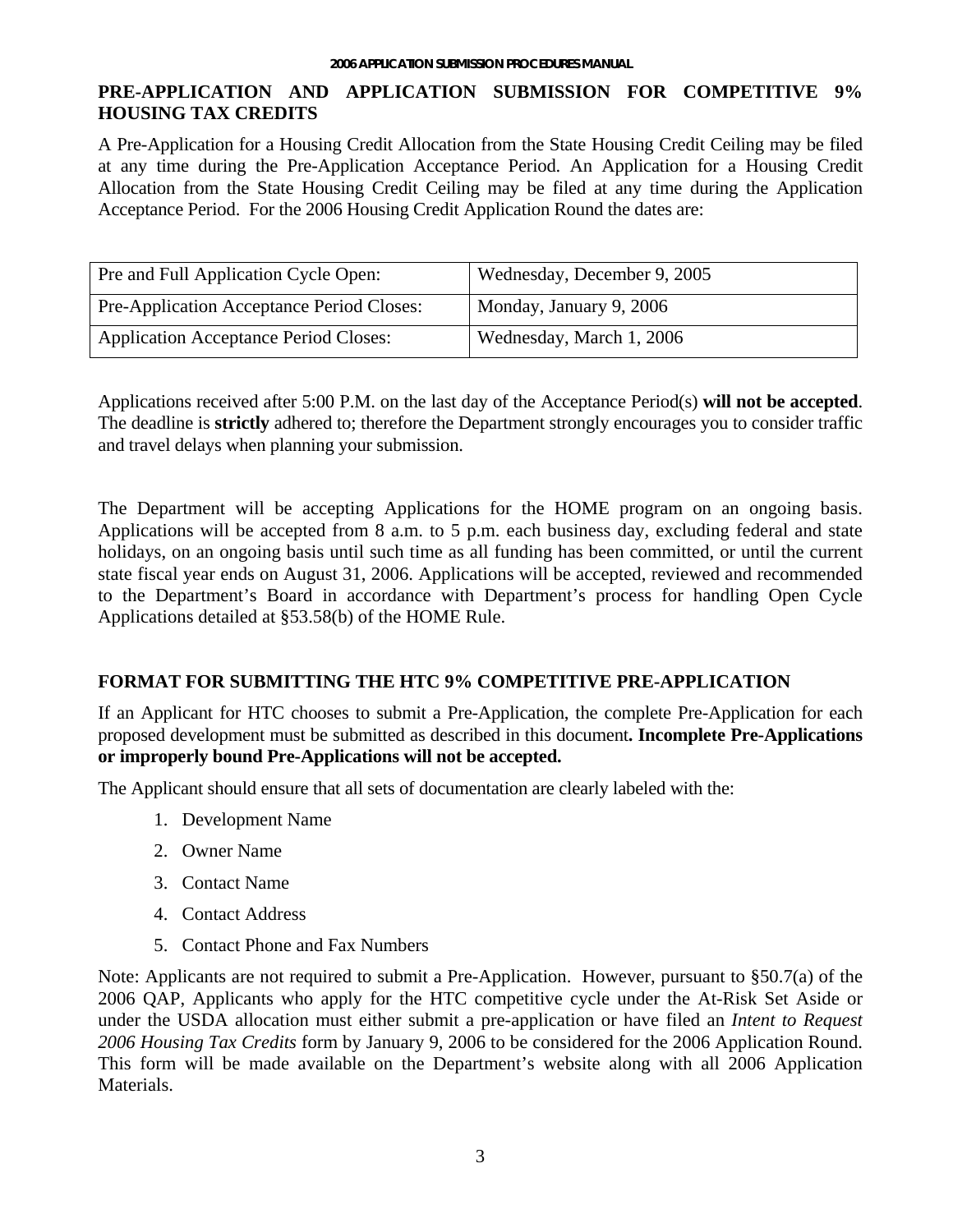# <span id="page-2-0"></span>**PRE-APPLICATION AND APPLICATION SUBMISSION FOR COMPETITIVE 9% HOUSING TAX CREDITS**

A Pre-Application for a Housing Credit Allocation from the State Housing Credit Ceiling may be filed at any time during the Pre-Application Acceptance Period. An Application for a Housing Credit Allocation from the State Housing Credit Ceiling may be filed at any time during the Application Acceptance Period. For the 2006 Housing Credit Application Round the dates are:

| <b>Pre and Full Application Cycle Open:</b>      | Wednesday, December 9, 2005 |
|--------------------------------------------------|-----------------------------|
| <b>Pre-Application Acceptance Period Closes:</b> | Monday, January 9, 2006     |
| <b>Application Acceptance Period Closes:</b>     | Wednesday, March 1, 2006    |

Applications received after 5:00 P.M. on the last day of the Acceptance Period(s) **will not be accepted**. The deadline is **strictly** adhered to; therefore the Department strongly encourages you to consider traffic and travel delays when planning your submission.

The Department will be accepting Applications for the HOME program on an ongoing basis. Applications will be accepted from 8 a.m. to 5 p.m. each business day, excluding federal and state holidays, on an ongoing basis until such time as all funding has been committed, or until the current state fiscal year ends on August 31, 2006. Applications will be accepted, reviewed and recommended to the Department's Board in accordance with Department's process for handling Open Cycle Applications detailed at §53.58(b) of the HOME Rule.

## **FORMAT FOR SUBMITTING THE HTC 9% COMPETITIVE PRE-APPLICATION**

If an Applicant for HTC chooses to submit a Pre-Application, the complete Pre-Application for each proposed development must be submitted as described in this document**. Incomplete Pre-Applications or improperly bound Pre-Applications will not be accepted.** 

The Applicant should ensure that all sets of documentation are clearly labeled with the:

- 1. Development Name
- 2. Owner Name
- 3. Contact Name
- 4. Contact Address
- 5. Contact Phone and Fax Numbers

Note: Applicants are not required to submit a Pre-Application. However, pursuant to §50.7(a) of the 2006 QAP, Applicants who apply for the HTC competitive cycle under the At-Risk Set Aside or under the USDA allocation must either submit a pre-application or have filed an *Intent to Request 2006 Housing Tax Credits* form by January 9, 2006 to be considered for the 2006 Application Round. This form will be made available on the Department's website along with all 2006 Application Materials.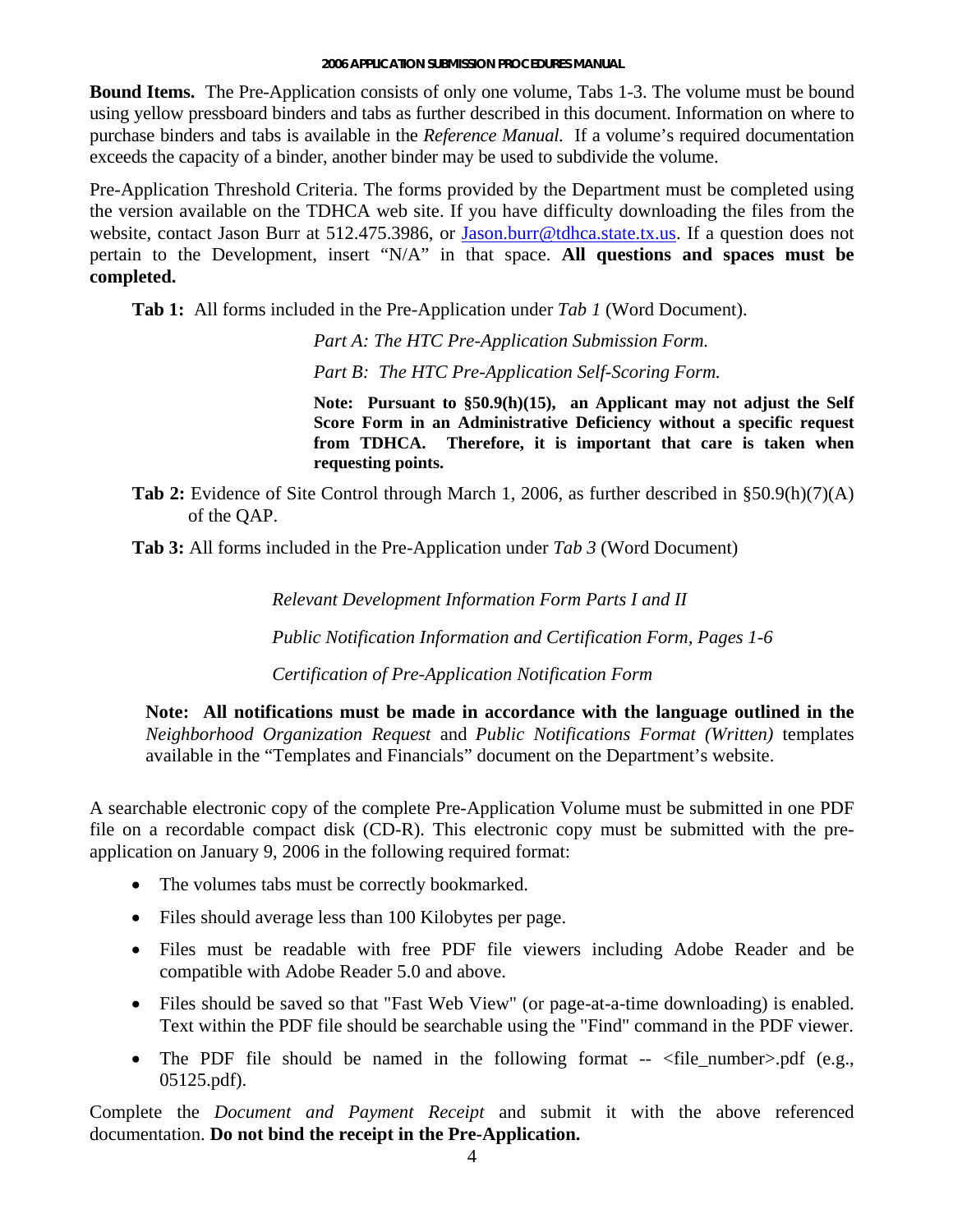#### **2006 APPLICATION SUBMISSION PROCEDURES MANUAL**

**Bound Items.** The Pre-Application consists of only one volume, Tabs 1-3. The volume must be bound using yellow pressboard binders and tabs as further described in this document. Information on where to purchase binders and tabs is available in the *Reference Manual.* If a volume's required documentation exceeds the capacity of a binder, another binder may be used to subdivide the volume.

Pre-Application Threshold Criteria. The forms p[rovided by the Department](mailto:Jason.burr@tdhca.state.tx.us) must be completed using the version available on the TDHCA web site. If you have difficulty downloading the files from the website, contact Jason Burr at 512.475.3986, or Jason.burr@tdhca.state.tx.us. If a question does not pertain to the Development, insert "N/A" in that space. All questions and spaces must be **completed.** 

**Tab 1:** All forms included in the Pre-Application under *Tab 1* (Word Document).

*Part A: The HTC Pre-Application Submission Form. Part B: The HTC Pre-Application Self-Scoring Form.* 

**dministrative Deficiency without a specific request Score Form in an A requesting points. Note: Pursuant to §50.9(h)(15), an Applicant may not adjust the Self from TDHCA. Therefore, it is important that care is taken when**

Tab 2: Evidence of Site Control through March 1, 2006, as further described in §50.9(h)(7)(A) of the QAP.

Tab 3: All forms included in the Pre-Application under *Tab 3* (Word Document)

*Relevant Development Information Form Parts I and II* 

*Public Notification Information and Certification Form, Pages 1-6* 

*Certification of Pre-Application Notification Form*

**in the Note: All notifications must be made in accordance with the language outlined** *Neighborhood Organization Request* and *Public Notifications Format (Written)* templates available in the "Templates and Financials" document on the Department's website.

A searchable electronic copy of the complete Pre-Application Volume must be submitted in one PDF file on a recordable compact disk (CD-R). This electronic copy must be submitted with the preapplication on January 9, 2006 in the following required format:

- The volumes tabs must be correctly bookmarked.
- Files should average less than 100 Kilobytes per page.
- Files must be readable with free PDF file viewers including Adobe Reader and be compatible with Adobe Reader 5.0 and above.
- Text within the PDF file should be searchable using the "Find" command in the PDF viewer. • Files should be saved so that "Fast Web View" (or page-at-a-time downloading) is enabled.
- The PDF file should be named in the following format --  $\langle$  file\_number>.pdf (e.g., 05125.pdf).

Complete the *Document and Payment Receipt* and submit it with the above referenced documentation. **Do not bind the receipt in the Pre-Application.**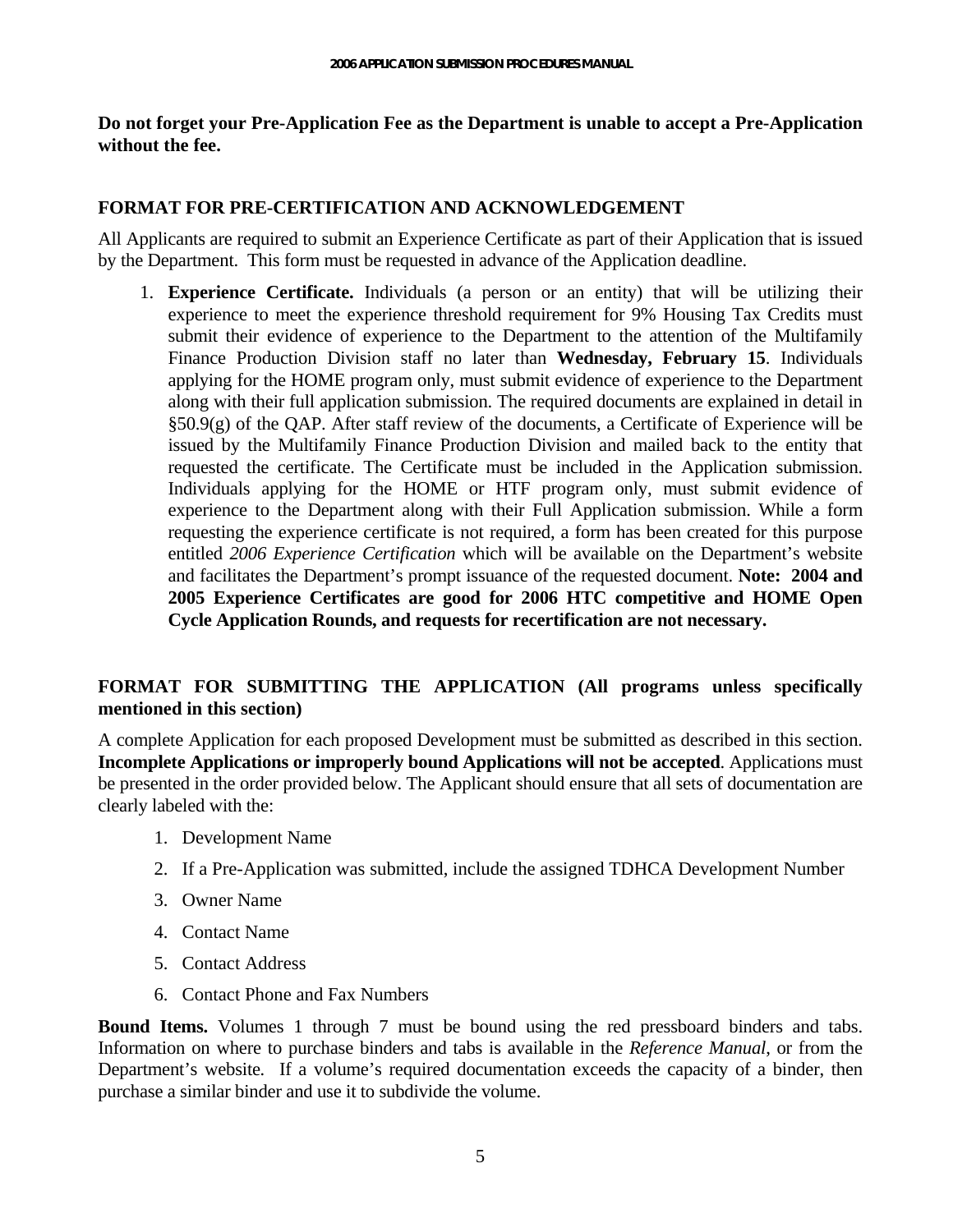#### <span id="page-4-0"></span>**Do not forget your Pre-Application Fee as the Department is unable to accept a Pre-Application**  without the fee.

#### **FORMAT FOR PRE-CERTIFICATION AND ACKNOWLEDGEMENT**

All Applicants are required to submit an Experience Certificate as part of their Application that is issued by the Department. This form must be requested in advance of the Application deadline.

1. **Experience Certificate.** Individuals (a person or an entity) that will be utilizing their **ME Open 2005 Experience Certificates are good for 2006 HTC competitive and HO Cycle Application Rounds, and requests for recertification are not necessary.** experience to meet the experience threshold requirement for 9% Housing Tax Credits must submit their evidence of experience to the Department to the attention of the Multifamily Finance Production Division staff no later than **Wednesday, February 15**. Individuals applying for the HOME program only, must submit evidence of experience to the Department along with their full application submission. The required documents are explained in detail in §50.9(g) of the QAP. After staff review of the documents, a Certificate of Experience will be issued by the Multifamily Finance Production Division and mailed back to the entity that requested the certificate. The Certificate must be included in the Application submission. Individuals applying for the HOME or HTF program only, must submit evidence of experience to the Department along with their Full Application submission. While a form requesting the experience certificate is not required, a form has been created for this purpose entitled *2006 Experience Certification* which will be available on the Department's website and facilitates the Department's prompt issuance of the requested document. **Note: 2004 and** 

## **FORMAT FOR SUBMITTING THE APPLICATION (All programs unless specifically mentioned in this section)**

**s or improperly bound Applications will not be accepted**. Applications must **Incomplete Application** be presented in the order provided below. The Applicant should ensure that all sets of documentation are clearly labeled with the: A complete Application for each proposed Development must be submitted as described in this section.

- 1. Development Name
- 2. If a Pre-Application was submitted, include the assigned TDHCA Development Number
- 3. Owner Name
- 4. Contact Name
- 5. Contact Address
- 6. Contact Phone and Fax Numbers

Information on where to purchase binders and tabs is available in the *Reference Manual*, or from the Departm ent's website*.* If a volume's required documentation exceeds the capacity of a binder, then purchas e a similar binder and use it to subdivide the volume. **Bound Items.** Volumes 1 through 7 must be bound using the red pressboard binders and tabs.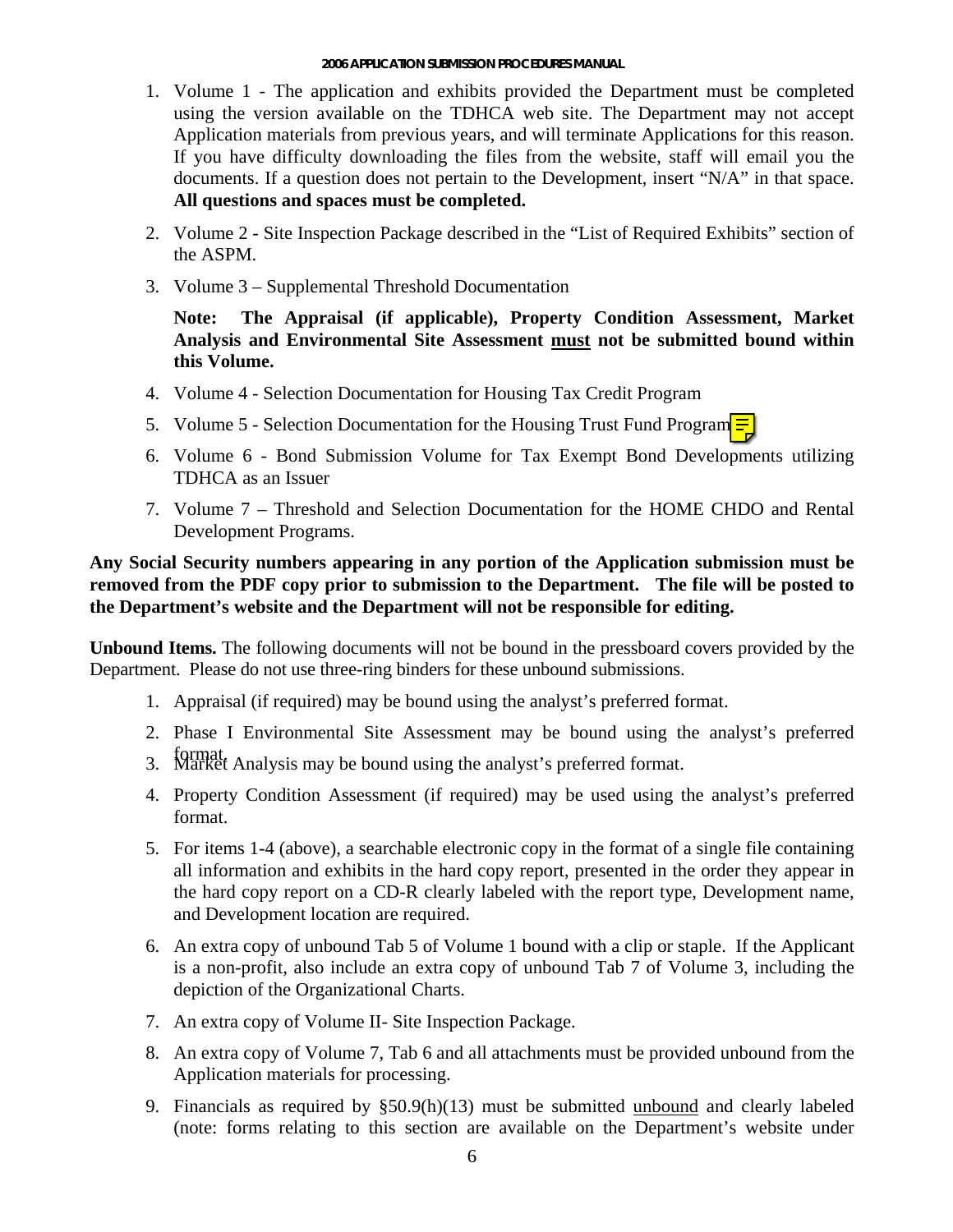- 1. Volume 1 The application and exhibits provided the Department must be completed Application materials from previous years, and will terminate Applications for this reason. **s and spaces must be completed. All question** using the version available on the TDHCA web site. The Department may not accept If you have difficulty downloading the files from the website, staff will email you the documents. If a question does not pertain to the Development, insert "N/A" in that space.
- 2. Volume 2 Site Inspection Package described in the "List of Required Exhibits" section of the ASPM.
- 3. Volume 3 Supplemental Threshold Documentation

Note: The Appraisal (if applicable), Property Condition Assessment, Market **Analysis and Environmental Site Assessment must not be submitted bound within this Volume.** 

- 4. Volume 4 Selection Documentation for Housing Tax Credit Program
- 5. Volume 5 Selection Documentation for the Housing Trust Fund Program  $\equiv$
- 6. Volume 6 Bond Submission Volume for Tax Exempt Bond Developments utilizing TDHCA as an Issuer
- 7. Volume 7 Threshold and Selection Documentation for the HOME CHDO and Rental Development Programs.

# **Any Social Security numbers appearing in any portion of the Application submission must be iting. the Department's website and the Department will not be responsible for ed removed from the PDF copy prior to submission to the Department. The file will be posted to**

Unbound Items. The following documents will not be bound in the pressboard covers provided by the Departm ent. Please do not use three-ring binders for these unbound submissions.

- 1. Appraisal (if required) may be bound using the analyst's preferred format.
- 2. Phase I Environmental Site Assessment may be bound using the analyst's preferred
- 3. **Narket Analysis may be bound using the analyst's preferred format.**
- 4. Property Condition Assessment (if required) may be used using the analyst's preferred format.
- 5. For items 1-4 (above), a searchable electronic copy in the format of a single file containing all information and exhibits in the hard copy report, presented in the order they appear in the hard copy report on a CD-R clearly labeled with the report type, Development name, and Development location are required.
- 6. An extra copy of unbound Tab 5 of Volume 1 bound with a clip or staple. If the Applicant is a non-profit, also include an extra copy of unbound Tab 7 of Volume 3, including the depiction of the Organizational Charts.
- 7. An extra copy of Volume II- Site Inspection Package.
- 8. An extra copy of Volume 7, Tab 6 and all attachments must be provided unbound from the Application materials for processing.
- 9. Financials as required by §50.9(h)(13) must be submitted unbound and clearly labeled (note: forms relating to this section are available on the Department's website under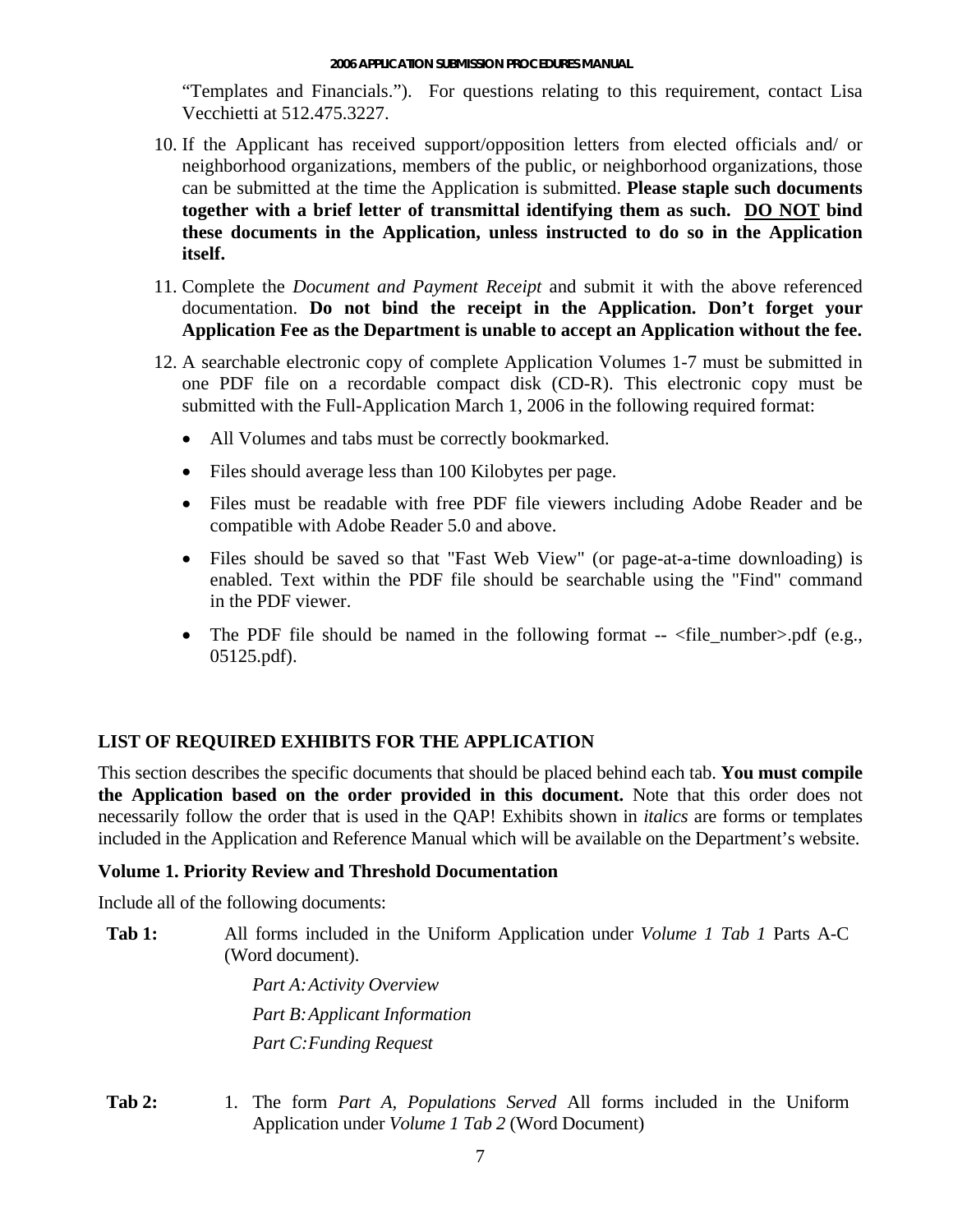<span id="page-6-0"></span>"Templates and Financials."). For questions relating to this requirement, contact Lisa Vecchietti at 512.475.3227.

- 10. If the Applicant has received support/opposition letters from elected officials and/ or neighborhood organizations, members of the public, or neighborhood organizations, those can be submitted at the time the Application is submitted. **Please staple such documents togeth er with a brief letter of transmittal identifying them as such. DO NOT bind these documents in the Application, unless instructed to do so in the Application itself.**
- 11. Complete the *Document and Payment Receipt* and submit it with the above referenced documentation. **Do not bind the receipt in the Application. Don't forget your Application Fee as the Department is unable to accept an Application without the fee.**
- 12. A searchable electronic copy of complete Application Volumes 1-7 must be submitted in one PDF file on a recordable compact disk (CD-R). This electronic copy must be submitted with the Full-Application March 1, 2006 in the following required format:
	- All Volumes and tabs must be correctly bookmarked.
	- Files should average less than 100 Kilobytes per page.
	- Files must be readable with free PDF file viewers including Adobe Reader and be compatible with Adobe Reader 5.0 and above.
	- Files should be saved so that "Fast Web View" (or page-at-a-time downloading) is in the PDF viewer. enabled. Text within the PDF file should be searchable using the "Find" command
	- The PDF file should be named in the following format  $\leq$  file number $>$ .pdf (e.g., 05125.pdf).

## **LIST OF REQUIRED EXHIBITS FOR THE APPLICATION**

**the Application based on the order provided in this document.** Note that this order does not necessarily follow the order that is used in the QAP! Exhibits shown in *italics* are forms or templates included in the Application and Reference Manual which will be available on the Department's website. This section describes the specific documents that should be placed behind each tab. **You must compile** 

#### **V . Prior olume 1 ity Review and Threshold Documentation**

Include all of the following documents:

Tab 1: All forms included in the Uniform Application under *Volume 1 Tab 1* Parts A-C (W ord document).

> *Part B:Applicant Information Part A:Activity Overview Part C:Funding Request*

**Tab 2:**  Application under *Volume 1 Tab 2* (Word Document) 1. The form *Part A, Populations Served* All forms included in the Uniform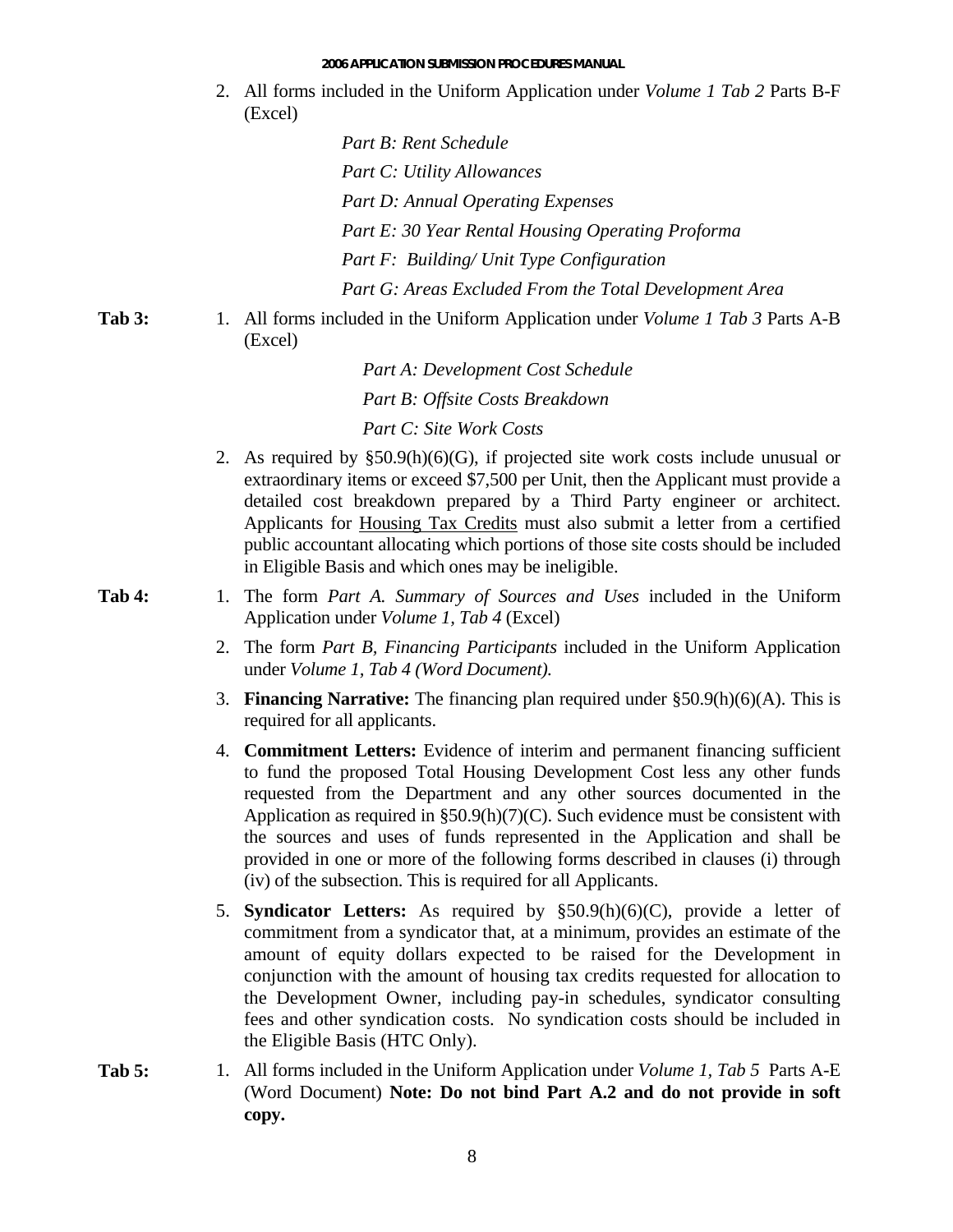2. All forms included in the Uniform Application under *Volume 1 Tab 2* Parts B-F (Excel)

> *Part G: Areas Excluded From the Total Development Area Part B: Rent Schedule Part C: Utility Allowances Part D: Annual Operating Expenses Part E: 30 Year Rental Housing Operating Proforma Part F: Building/ Unit Type Configuration*

**Tab 4:** 

Tab 3: 1. All forms included in the Uniform Application under *Volume 1 Tab 3* Parts A-B (Excel)

> *Part* A: Development Cost Schedule *Part B: Offsite Costs Breakdown Part C: Site Work Costs*

2. As required by §50.9(h)(6)(G), if projected site work costs include unusual or extraordinary items or exceed \$7,500 per Unit, then the Applicant must provide a detailed cost breakdown prepared by a Third Party engineer or architect. Applicants for Housing Tax Credits must also submit a letter from a certified in Eligible Basis and which ones may be ineligible. public accountant allocating which portions of those site costs should be included

1. The form *Part A. Summary of Sources and Uses* included in the Uniform Application under *Volume 1, Tab 4* (Excel)

- $d$  *domagnonta 1, Tab 4 (Word Document).* 2. The form *Part B, Financing Participants* included in the Uniform Application
- 3. **Financing Narrative:** The financing plan required under §50.9(h)(6)(A). This is required for all applicants.
- 4. **Commitment Letters:** Evidence of interim and permanent financing sufficient the sources and uses of funds represented in the Application and shall be to fund the proposed Total Housing Development Cost less any other funds requested from the Department and any other sources documented in the Application as required in §50.9(h)(7)(C). Such evidence must be consistent with provided in one or more of the following forms described in clauses (i) through (iv) of the subsection. This is required for all Applicants.
- 5. **Syndicator Letters:** As required by §50.9(h)(6)(C), provide a letter of the Development Owner, including pay-in schedules, syndicator consulting commitment from a syndicator that, at a minimum, provides an estimate of the amount of equity dollars expected to be raised for the Development in conjunction with the amount of housing tax credits requested for allocation to fees and other syndication costs. No syndication costs should be included in the Eligible Basis (HTC Only).
- Tab 5: 1. All forms included in the Uniform Application under *Volume 1, Tab 5* Parts A-E (Word Document) Note: Do not bind Part A.2 and do not provide in soft **copy.**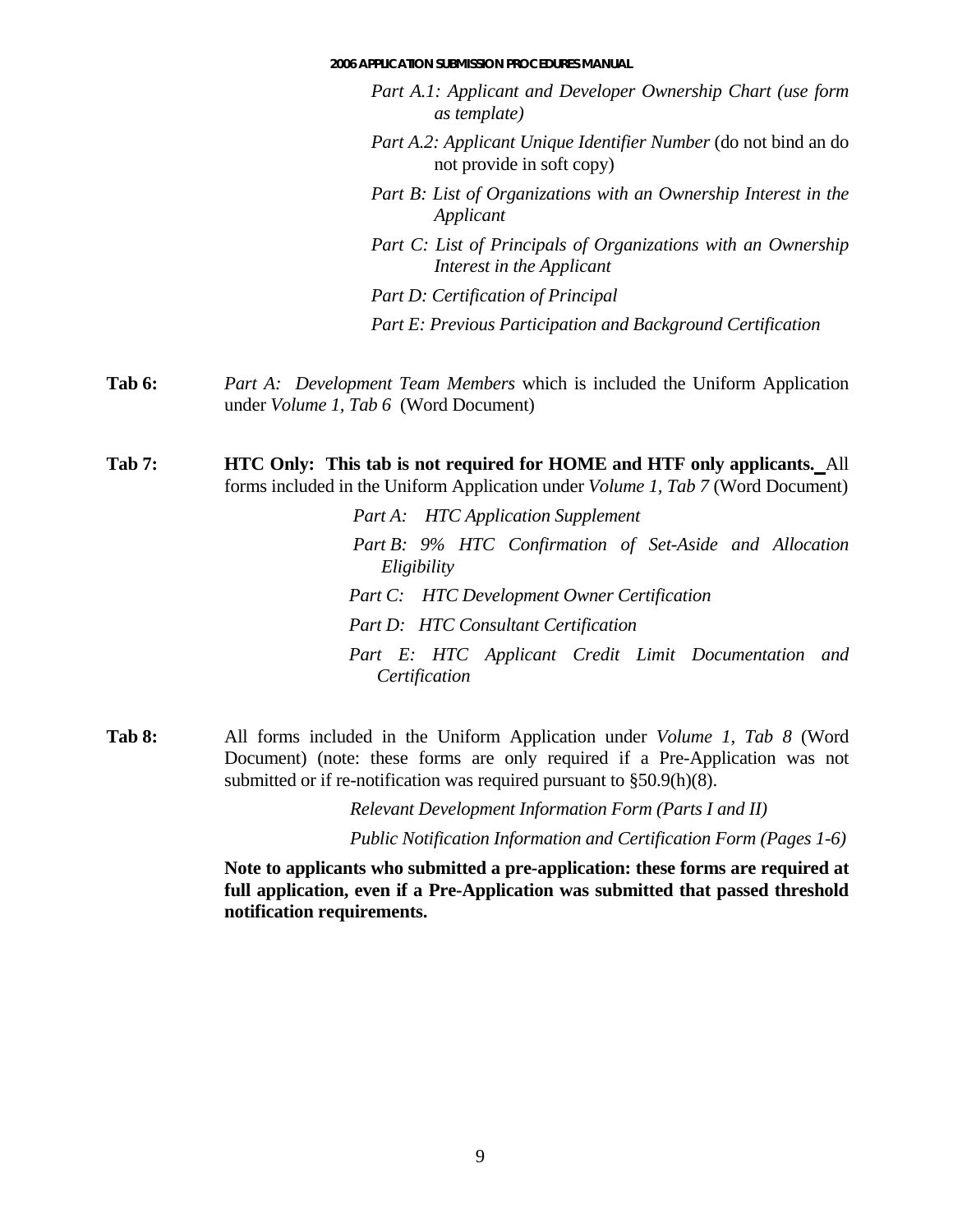#### **2006 APPLICATION SUBMISSION PROCEDURES MANUAL**

- *Part A.1: Applicant and Developer Ownership Chart (use form as template)*
- *Part A.2: Applicant Unique Identifier Number* (do not bind an do not provide in soft copy)
- *Part B: List of Organizations with an Ownership Interest in the Applicant*
- *nizations with an Ownership Part C: List of Principals of Orga Interest in the Applicant*

*Part D: Certification of Principal* 

*Part E: Previous Participation and Background Certification*

**Tab 6:** *Part A: Development Team Members* which is included the Uniform Application under *Volume 1, Tab 6* (Word Document)

**Tab 7: HTC Only: This tab is not required for HOME and HTF only applicants. All** forms included in the Uniform Application under *Volume 1, Tab 7* (Word Document)

> *t A: HTC Par Application Supplement Part B: 9% HTC Confirmation of Set-Aside and Allocation Eligibility Part C: HTC Development Owner Certification Certification Part D: HTC Consultant Certification Part E: HTC Applicant Credit Limit Documentation and*

All forms included in the Uniform Application under *Volume 1* **Tab 8:** *, Tab 8* (Word Document) (note: these forms are only required if a Pre-Application was not submitted or if re-notification was required pursuant to  $\S 50.9(h)(8)$ .

*Relevant Development Information Form (Parts I and II)*

*Public Notification Information and Certification Form (Pages 1-6)*

**Note to applicants who sub mitted a pre-application: these forms are required at**  full application, even if a Pre-Application was submitted that passed threshold **notification requirements.**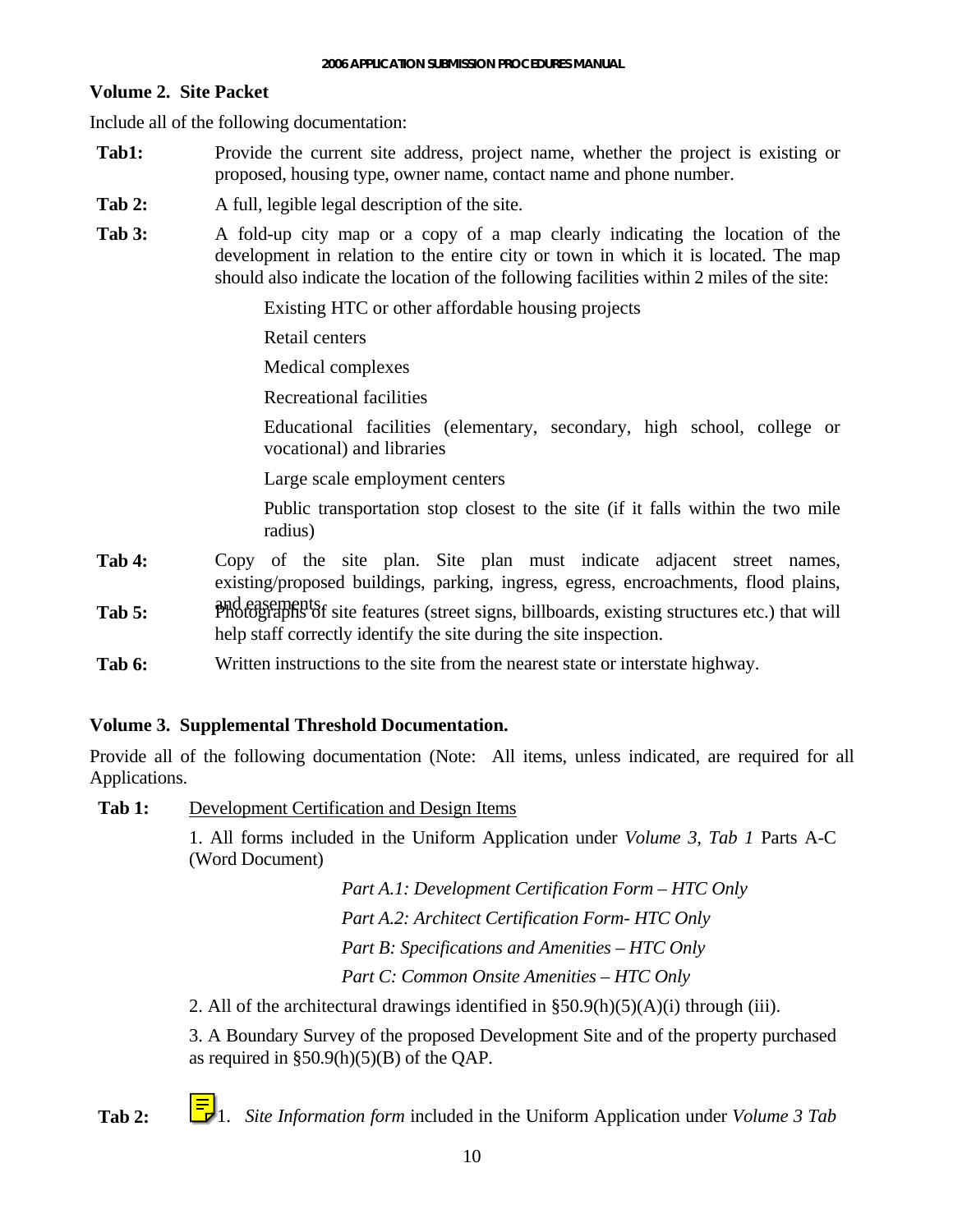#### <span id="page-9-0"></span>**Volume 2. Site Packet**

Include all of the following documentation:

- Tab1: Provide the current site address, project name, whether the project is existing or proposed, housing type, owner name, contact name and phone number.
- **Tab 2:** A full, legible legal description of the site.
- **Tab 3:** A fold-up city map or a copy of a map clearly indicating the location of the development in relation to the entire city or town in which it is located. The map should also indicate the location of the following facilities within 2 miles of the site:

Existing HTC or other affordable housing projects

Retail centers

Medical complexes

Recreational facilities

Educational facilities (elementary, secondary, high school, college or vocational) and libraries

Large scale employment centers

Public transportation stop closest to the site (if it falls within the two mile radius)

- Tab 4: Copy of the site plan. Site plan must indicate adjacent street names, existing/proposed buildings, parking, ingress, egress, encroachments, flood plains,
- and easements. **Tab 5:** Photographs of site features (street signs, billboards, existing structures etc.) that will help staff correctly identify the site during the site inspection.
- **Tab 6:** Written instructions to the site from the nearest state or interstate highway.

## **Volume 3. Supplemental Threshold Documentation.**

Provide all of the following documentation (Note: All items, unless indicated, are required for all Applications.

Tab 1: Development Certification and Design Items

1. All forms included in the Uniform Application under *Volume 3, Tab 1* Parts A-C (Word Document)

*Part A.1: Development Certification Form – HTC Only* 

*Part A.2: Architect Certification Form- HTC Only* 

*Part B: Specifications and Amenities – HTC Only* 

*Part C: Common Onsite Amenities – HTC Only* 

2. All of the architectural drawings identified in §50.9(h)(5)(A)(i) through (iii).

3. A Boundary Survey of the proposed Development Site and of the property purchased as required in  $\S 50.9(h)(5)(B)$  of the QAP.

**Tab 2:** 1. *Site Information form* included in the Uniform Application under *Volume 3 Tab*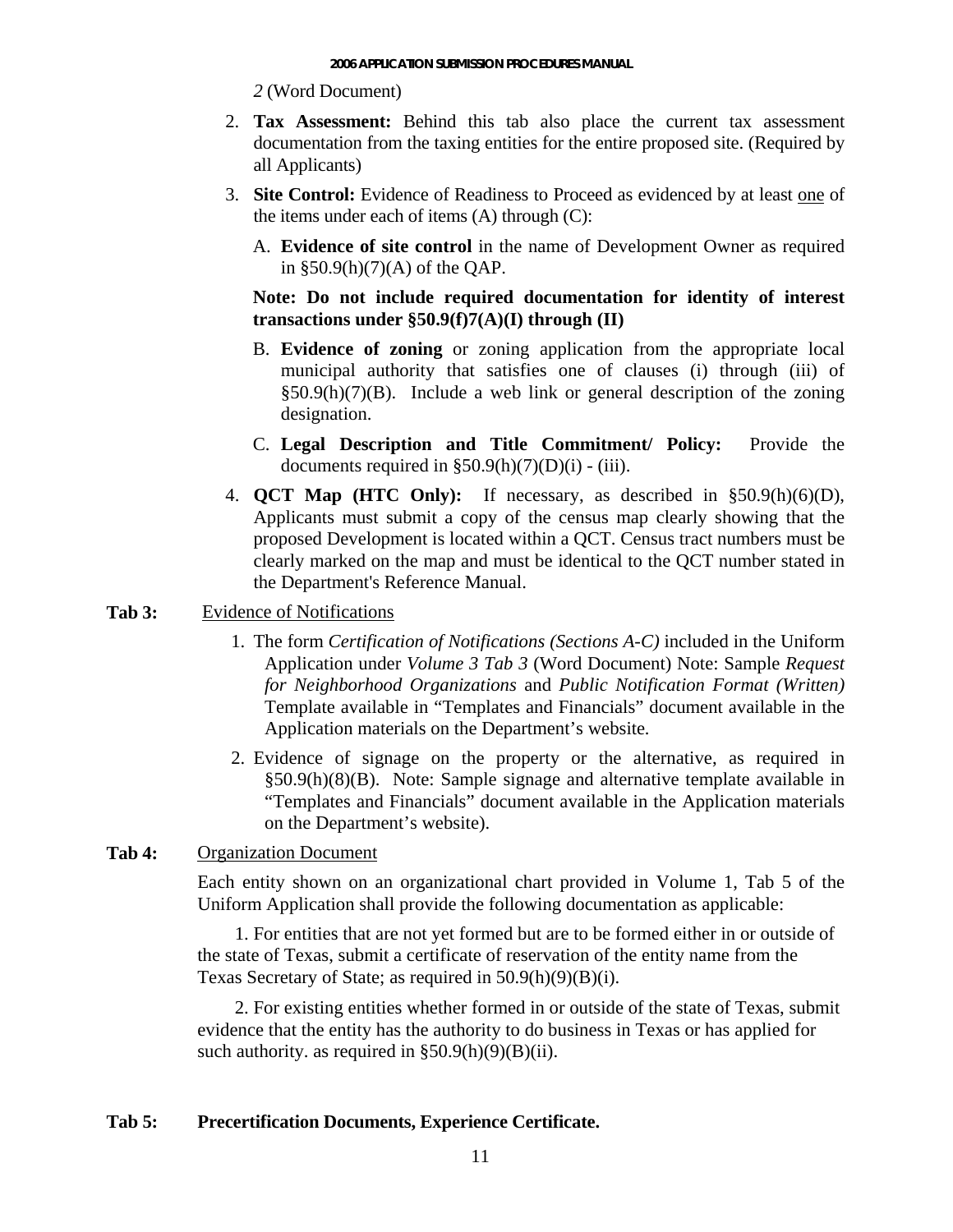*2* (Word Document)

- 2. **Tax Assessment:** Behind this tab also place the current tax assessment documentation from the taxing entities for the entire proposed site. (Required by all Applicants)
- 3. Site Control: Evidence of Readiness to Proceed as evidenced by at least one of the items under each of items  $(A)$  through  $(C)$ :
	- A. **Evidence of site control** in the name of D evelopment Owner as required in §50.9(h)(7)(A) of the QAP.

#### **transactions under §50.9(f)7(A)(I) through (II) Note: Do not include required documentation for identity of interest**

- B. **Evidence of zoning** or zoning application from the appropriate local municipal authority that satisfies one of clauses (i) through (iii) of §50.9(h)(7)(B). Include a web link or general description of the zoning designation.
- **C.** Legal Description and Title Commitment/ Policy: Provide the documents required in  $\S50.9(h)(7)(D)(i)$  - (iii).
- 4. **QCT Map** (HTC Only): If necessary, as described in  $\S 50.9(h)(6)(D)$ , Applicants must submit a copy of the census map clearly showing that the proposed Development is located within a QCT. Census tract numbers must be clearly marked on the map and must be identical to the QCT number stated in the Department's Reference Manual.

# Tab 3: Evidence of Notifications

- 1. The form *Certification of Notifications (Sections A-C)* included in the Uniform Application under *Volume 3 Tab 3* (Word Document) Note: Sample *Request for Neighborhood Organizations* and *Public Notification Format (Written)* Template available in "Templates and Financials" document available in the Application materials on the Department's website*.*
- 2. Evidence of signage on the property or the alternative, as required in §50.9(h)(8)(B). Note: Sample signage and alternative template available in "Templates and Financials" document available in the Application materials on the Department's website).

## Tab 4: Organization Document

Each entity shown on an organizational chart provided in Volume 1, Tab 5 of the Uniform Application shall provide the following documentation as applicable:

1. For entities that are not yet formed but are to be formed either in or outside of the state of Texas, submit a certificate of reservation of the entity name from the Texas Secretary of State; as required in 50.9(h)(9)(B)(i).

2. For existing entities whether formed in or outside of the state of Texas, submit evidence that the entity has the authority to do business in Texas or has applied for such authority. as required in  $\S 50.9(h)(9)(B)(ii)$ .

## **Tab 5: Precertification Documents, Experience Certificate.**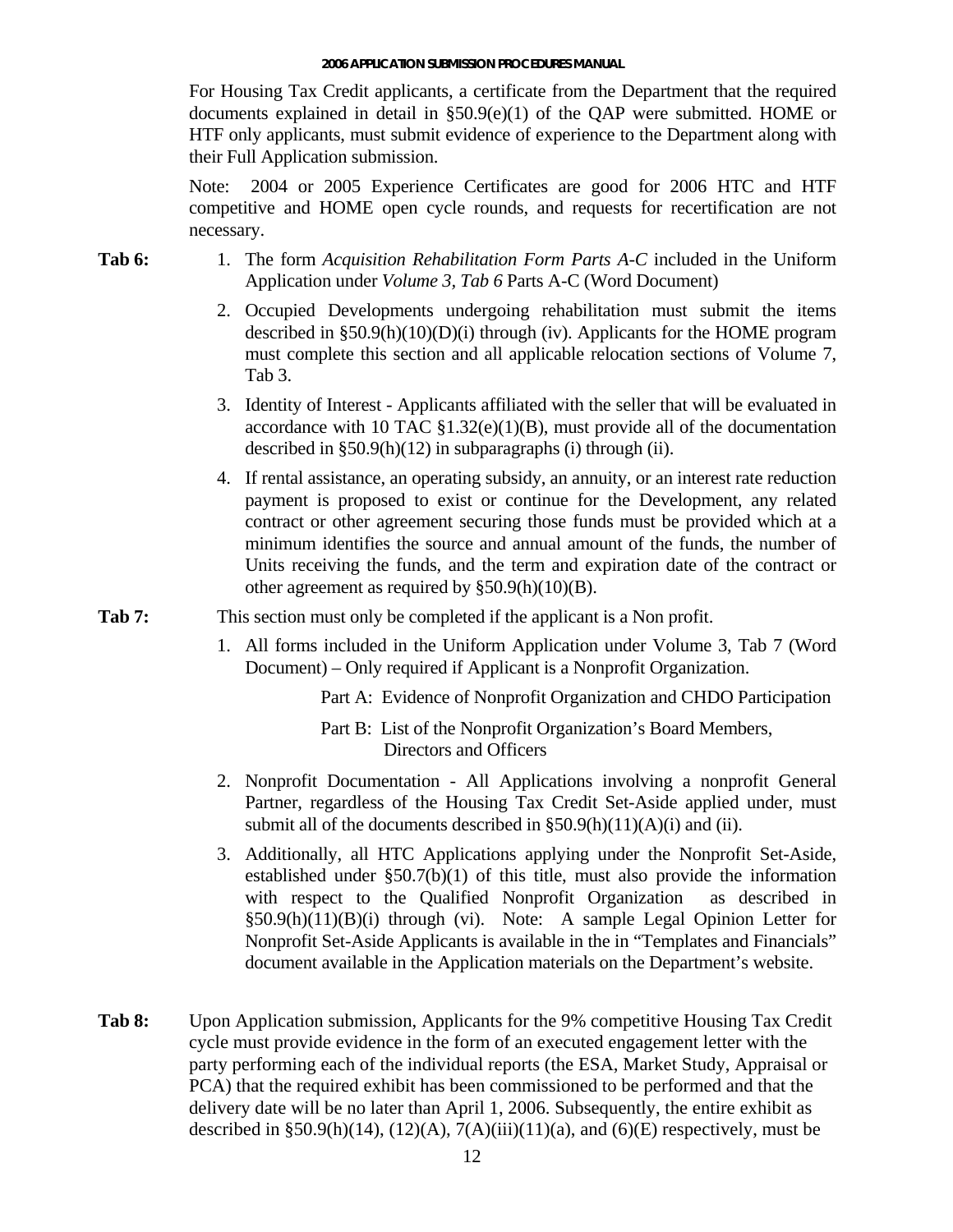For Housing Tax Credit applicants, a certificate from the Department that the required documents explained in detail in §50.9(e)(1) of the QAP were submitted. HOME or HTF only applicants, must submit evidence of experience to the Department along with their Full Application submission.

Note: 2004 or 2005 Experience Certificates are good for 2006 HTC and HTF competitive and HOME open cycle rounds, and requests for recertification are not necessary.

- **Tab 6:** 1. The form *Acquisition Rehabilitation Form Parts A-C* included in the Uniform Application under *Volume 3, Tab 6* Parts A-C (Word Document)
	- 2. Occupied Developments undergoing rehabilitation must submit the items described in §50.9(h)(10)(D)(i) through (iv). Applicants for the HOME program must complete this section and all applicable relocation sections of Volume 7, Tab 3.
	- 3. Identity of Interest Applicants affiliated with the seller that will be evaluated in accordance with 10 TAC  $$1.32(e)(1)(B)$ , must provide all of the documentation described in §50.9(h)(12) in subparagraphs (i) through (ii).
	- 4. If rental assistance, an operating subsidy, an annuity, or an interest rate reduction payment is proposed to exist or continue for the Development, any related contract or other agreement securing those funds must be provided which at a minimum identifies the source and annual amount of the funds, the number of Units receiving the funds, and the term and expiration date of the contract or other agreement as required by §50.9(h)(10)(B).

Tab 7: This section must only be completed if the applicant is a Non profit.

1. All forms included in the Uniform Application under Volume 3, Tab 7 (Word Document) – Only required if Applicant is a Nonprofit Organization.

Part A: Evidence of Nonprofit Organization and CHDO Participation

Part B: List of the Nonprofit Organization's Board Members, Directors and Officers

- 2. Nonprofit Documentation All Applications involving a nonprofit General Partner, regardless of the Housing Tax Credit Set-Aside applied under, must submit all of the documents described in  $\S 50.9(h)(11)(A)(i)$  and (ii).
- 3. Additionally, all HTC Applications applying under the Nonprofit Set-Aside, established under §50.7(b)(1) of this title, must also provide the information with respect to the Qualified Nonprofit Organization as described in §50.9(h)(11)(B)(i) through (vi). Note: A sample Legal Opinion Letter for Nonprofit Set-Aside Applicants is available in the in "Templates and Financials" document available in the Application materials on the Department's website.
- **Tab 8:** Upon Application submission, Applicants for the 9% competitive Housing Tax Credit party performing each of the individual reports (the ESA, Market Study, Appraisal or described in §50.9(h)(14), (12)(A), 7(A)(iii)(11)(a), and (6)(E) respectively, must be cycle must provide evidence in the form of an executed engagement letter with the PCA) that the required exhibit has been commissioned to be performed and that the delivery date will be no later than April 1, 2006. Subsequently, the entire exhibit as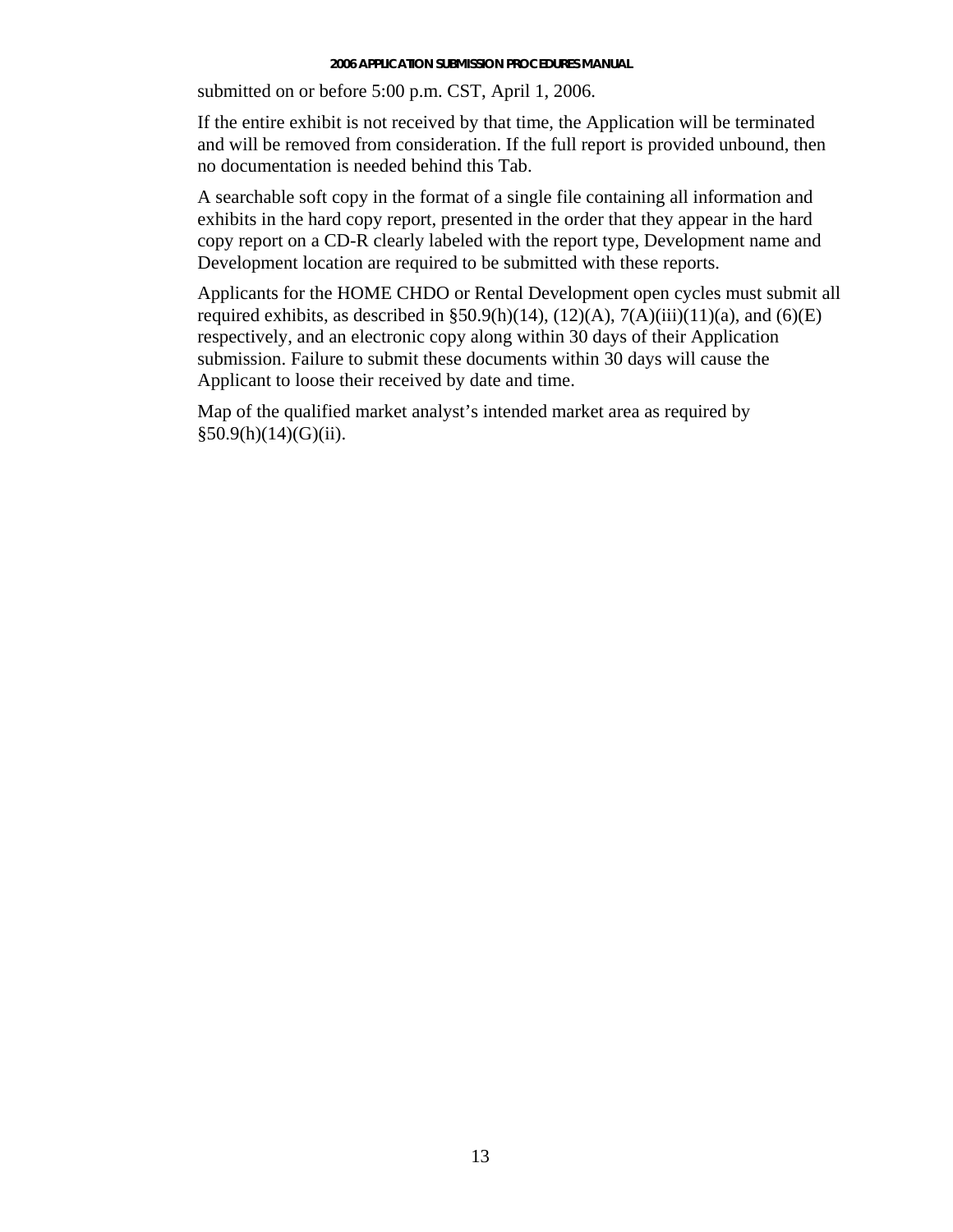submitted on or before 5:00 p.m. CST, April 1, 2006.

If the entire exhibit is not received by that time, the Application will be terminated and will be removed from consideration. If the full report is provided unbound, then no documentation is needed behind this Tab.

exhibits in the hard copy report, presented in the order that they appear in the hard A searchable soft copy in the format of a single file containing all information and copy report on a CD-R clearly labeled with the report type, Development name and Development location are required to be submitted with these reports.

Applicants for the HOME CHDO or Rental Development open cycles must submit all required exhibits, as described in  $\S 50.9(h)(14)$ ,  $(12)(A)$ ,  $7(A)(iii)(11)(a)$ , and  $(6)(E)$ respectively, and an electronic copy along within 30 days of their Application submission. Failure to submit these documents within 30 days will cause the Applicant to loose their received by date and time.

Map of the qualified market analyst's intended market area as required by  $§50.9(h)(14)(G)(ii).$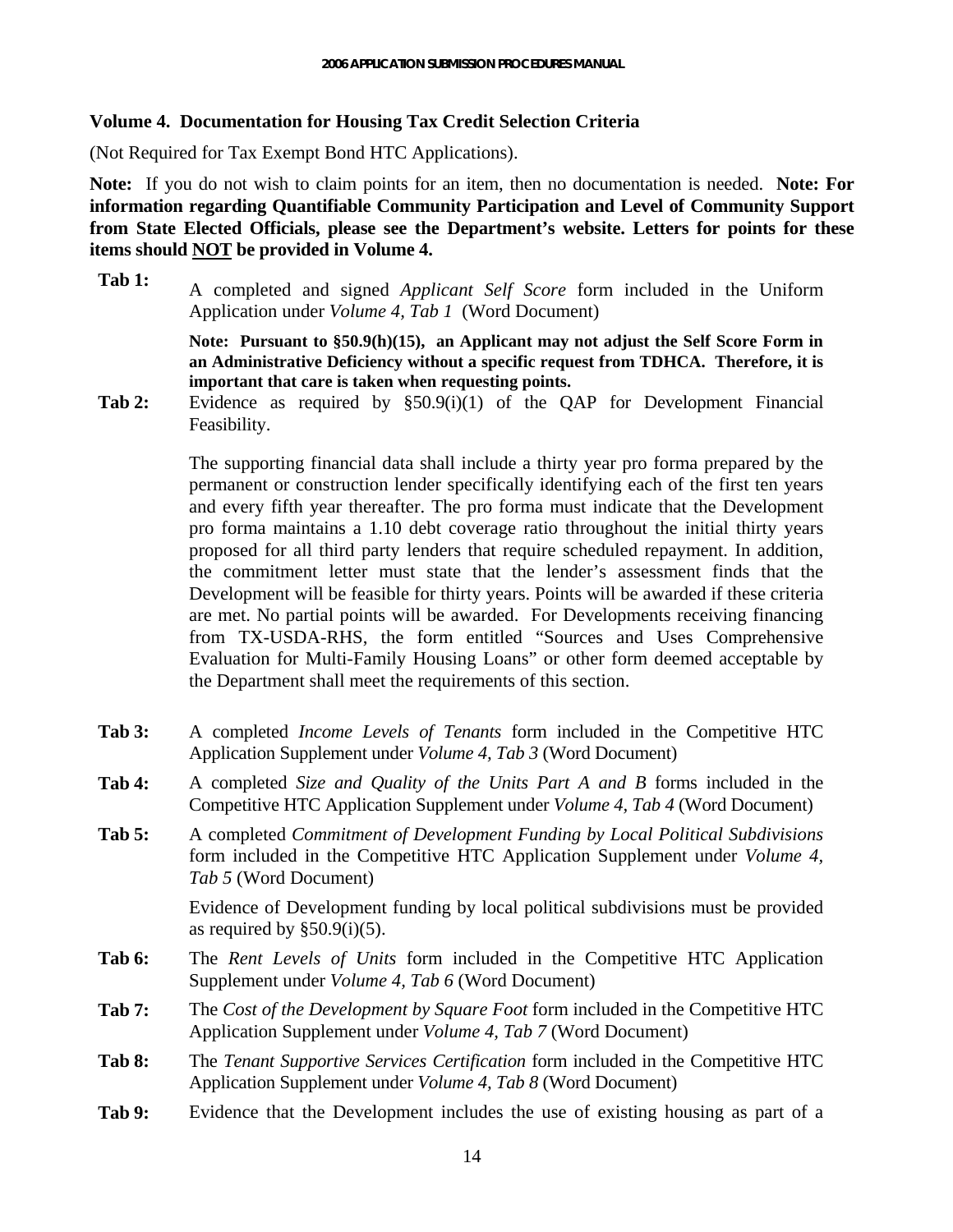### <span id="page-13-0"></span>**Volume 4. Documentation for Housing Tax Credit Selection Criteria**

(Not Required for Tax Exempt Bond HTC Applications).

**Note:** If you do not wish to claim points for an item, then no documentation is needed. **Note: For information regarding Quantifiable Community Participation and Level of Community Support from State Elected Officials, please see the Department's website. Letters for points for these items should NOT be provided in Volume 4.** 

**Tab 1:** A completed and signed *Applicant Self Score* form included in the Uniform Application under *Volume 4, Tab 1* (Word Document)

> **Note: Pursuant to §50.9(h)(15), an Applicant may not adjust the Self Score Form in an Administrative Deficiency without a specific request from TDHCA. Therefore, it is important that care is taken when requesting points.**

**Tab 2:** Evidence as required by §50.9(i)(1) of the QAP for Development Financial Feasibility.

> The supporting financial data shall include a thirty year pro forma prepared by the permanent or construction lender specifically identifying each of the first ten years and every fifth year thereafter. The pro forma must indicate that the Development pro forma maintains a 1.10 debt coverage ratio throughout the initial thirty years proposed for all third party lenders that require scheduled repayment. In addition, the commitment letter must state that the lender's assessment finds that the Development will be feasible for thirty years. Points will be awarded if these criteria are met. No partial points will be awarded. For Developments receiving financing from TX-USDA-RHS, the form entitled "Sources and Uses Comprehensive Evaluation for Multi-Family Housing Loans" or other form deemed acceptable by the Department shall meet the requirements of this section.

- **Tab 3:** A completed *Income Levels of Tenants* form included in the Competitive HTC Application Supplement under *Volume 4, Tab 3* (Word Document)
- **Tab 4:** A completed *Size and Quality of the Units Part A and B* forms included in the Competitive HTC Application Supplement under *Volume 4, Tab 4* (Word Document)
- **Tab 5:** A completed *Commitment of Development Funding by Local Political Subdivisions* form included in the Competitive HTC Application Supplement under *Volume 4, Tab 5* (Word Document)

Evidence of Development funding by local political subdivisions must be provided as required by  $\S50.9(i)(5)$ .

- **Tab 6:** The *Rent Levels of Units* form included in the Competitive HTC Application Supplement under *Volume 4, Tab 6* (Word Document)
- **Tab 7:** The *Cost of the Development by Square Foot* form included in the Competitive HTC Application Supplement under *Volume 4, Tab 7* (Word Document)
- **Tab 8:** The *Tenant Supportive Services Certification* form included in the Competitive HTC Application Supplement under *Volume 4, Tab 8* (Word Document)
- **Tab 9:** Evidence that the Development includes the use of existing housing as part of a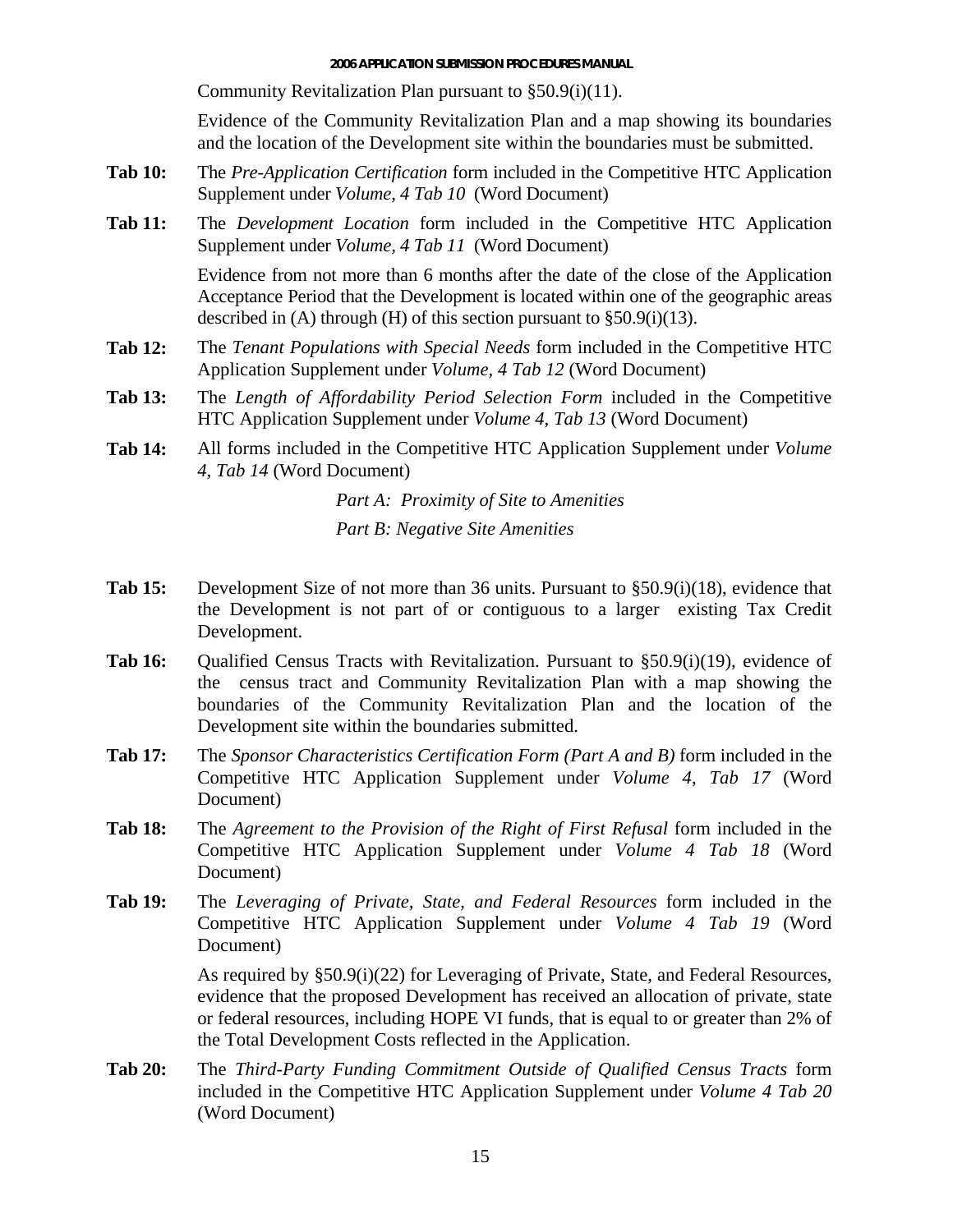Community Revitalization Plan pursuant to §50.9(i)(11).

Evidence of the Community Revitalization Plan and a map showing its boundaries and the location of the Development site within the boundaries must be submitted.

- **Tab 10:** The *Pre-Application Certification* form included in the Competitive HTC Application Supplement under *Volume, 4 Tab 10* (Word Document)
- **Tab 11:** The *Development Location* form included in the Competitive HTC Application Supplement under *Volume, 4 Tab 11* (Word Document)

Evidence from not more than 6 months after the date of the close of the Application Acceptance Period that the Development is located within one of the geographic areas described in (A) through (H) of this section pursuant to  $\S 50.9(i)(13)$ .

- **Tab 12:** The *Tenant Populations with Special Needs* form included in the Competitive HTC Application Supplement under *Volume, 4 Tab 12* (Word Document)
- **Tab 13:** The *Length of Affordability Period Selection Form* included in the Competitive HTC Application Supplement under *Volume 4, Tab 13* (Word Document)
- **Tab 14:** All forms included in the Competitive HTC Application Supplement under *Volume 4, Tab 14* (Word Document)

*Part A: Proximity of Site to Amenities* 

*Part B: Negative Site Amenities* 

- **Tab 15:** Development Size of not more than 36 units. Pursuant to §50.9(i)(18), evidence that the Development is not part of or contiguous to a larger existing Tax Credit Development.
- **Tab 16:** Qualified Census Tracts with Revitalization. Pursuant to §50.9(i)(19), evidence of the census tract and Community Revitalization Plan with a map showing the boundaries of the Community Revitalization Plan and the location of the Development site within the boundaries submitted.
- **Tab 17:** The *Sponsor Characteristics Certification Form (Part A and B)* form included in the Competitive HTC Application Supplement under *Volume 4, Tab 17* (Word Document)
- **Tab 18:** The *Agreement to the Provision of the Right of First Refusal* form included in the Competitive HTC Application Supplement under *Volume 4 Tab 18* (Word Document)
- **Tab 19:** The *Leveraging of Private, State, and Federal Resources* form included in the Competitive HTC Application Supplement under *Volume 4 Tab 19* (Word Document)

As required by §50.9(i)(22) for Leveraging of Private, State, and Federal Resources, evidence that the proposed Development has received an allocation of private, state or federal resources, including HOPE VI funds, that is equal to or greater than 2% of the Total Development Costs reflected in the Application.

**Tab 20:** The *Third-Party Funding Commitment Outside of Qualified Census Tracts* form included in the Competitive HTC Application Supplement under *Volume 4 Tab 20* (Word Document)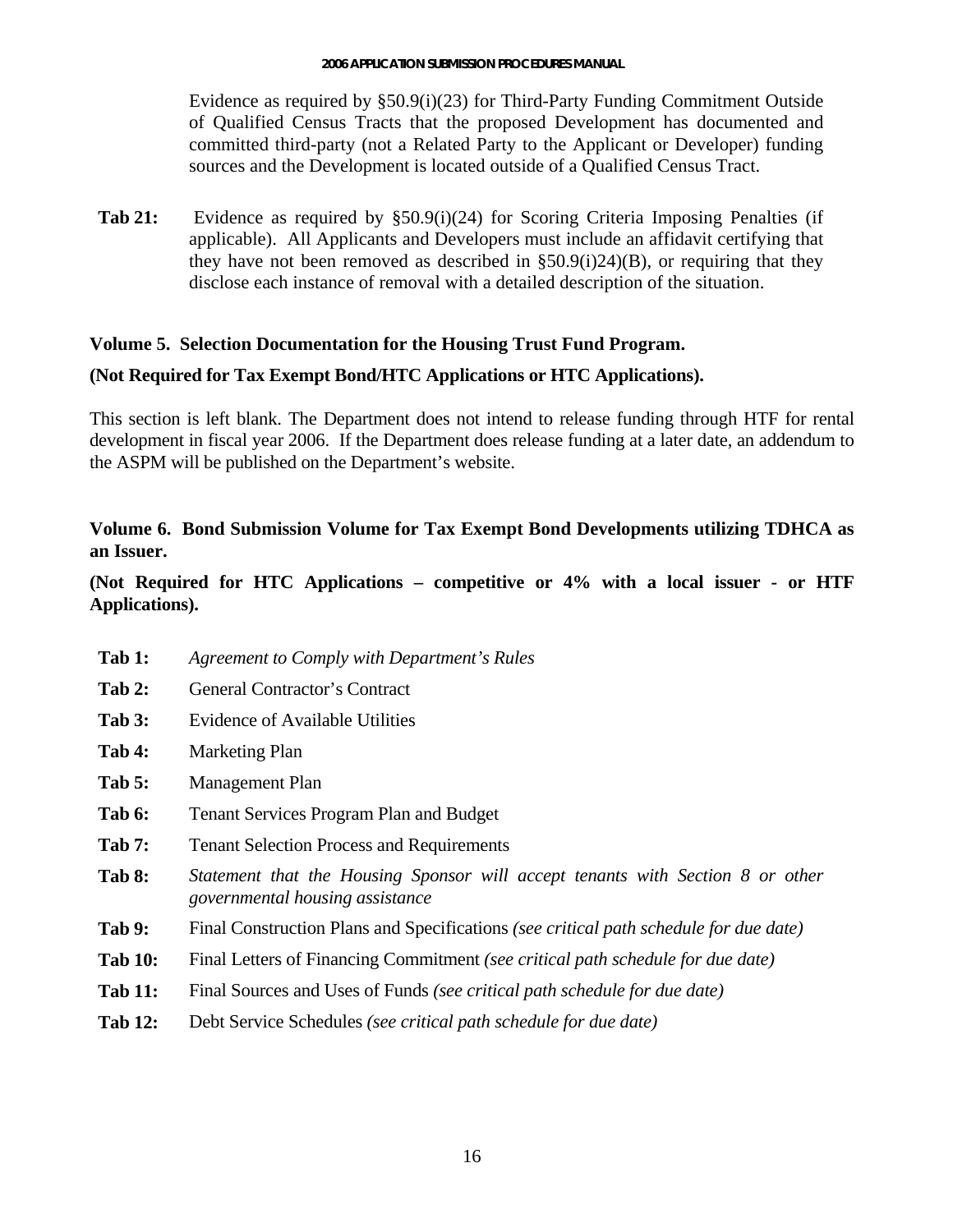<span id="page-15-0"></span>Evidence as required by §50.9(i)(23) for Third-Party Funding Commitment Outside of Qualified Census Tracts that the proposed Development has documented and committed third-party (not a Related Party to the Applicant or Developer) funding sources and the Development is located outside of a Qualified Census Tract.

**Tab 21:** Evidence as required by §50.9(i)(24) for Scoring Criteria Imposing Penalties (if applicable). All Applicants and Developers must include an affidavit certifying that they have not been removed as described in  $\S50.9(i)24$  $(B)$ , or requiring that they disclose each instance of removal with a detailed description of the situation.

## **Volume 5. Selection Documentation for the Housing Trust Fund Program.**

# **(Not Required for Tax Exempt Bond/HTC Applications or HTC Applications).**

This section is left blank. The Department does not intend to release funding through HTF for rental development in fiscal year 2006. If the Department does release funding at a later date, an addendum to the ASPM will be published on the Department's website.

# **Volume 6. Bond Submission Volume for Tax Exempt Bond Developments utilizing TDHCA as an Issuer.**

**(Not Required for HTC Applications – competitive or 4% with a local issuer - or HTF Applications).**

- **Tab 1:** *Agreement to Comply with Department's Rules*
- Tab 2: General Contractor's Contract
- Tab 3: Evidence of Available Utilities
- **Tab 4:** Marketing Plan
- **Tab 5:** Management Plan
- **Tab 6:** Tenant Services Program Plan and Budget
- Tab 7: Tenant Selection Process and Requirements
- **Tab 8:** *Statement that the Housing Sponsor will accept tenants with Section 8 or other governmental housing assistance*
- **Tab 9:** Final Construction Plans and Specifications *(see critical path schedule for due date)*
- **Tab 10:** Final Letters of Financing Commitment *(see critical path schedule for due date)*
- **Tab 11:** Final Sources and Uses of Funds *(see critical path schedule for due date)*
- **Tab 12:** Debt Service Schedules *(see critical path schedule for due date)*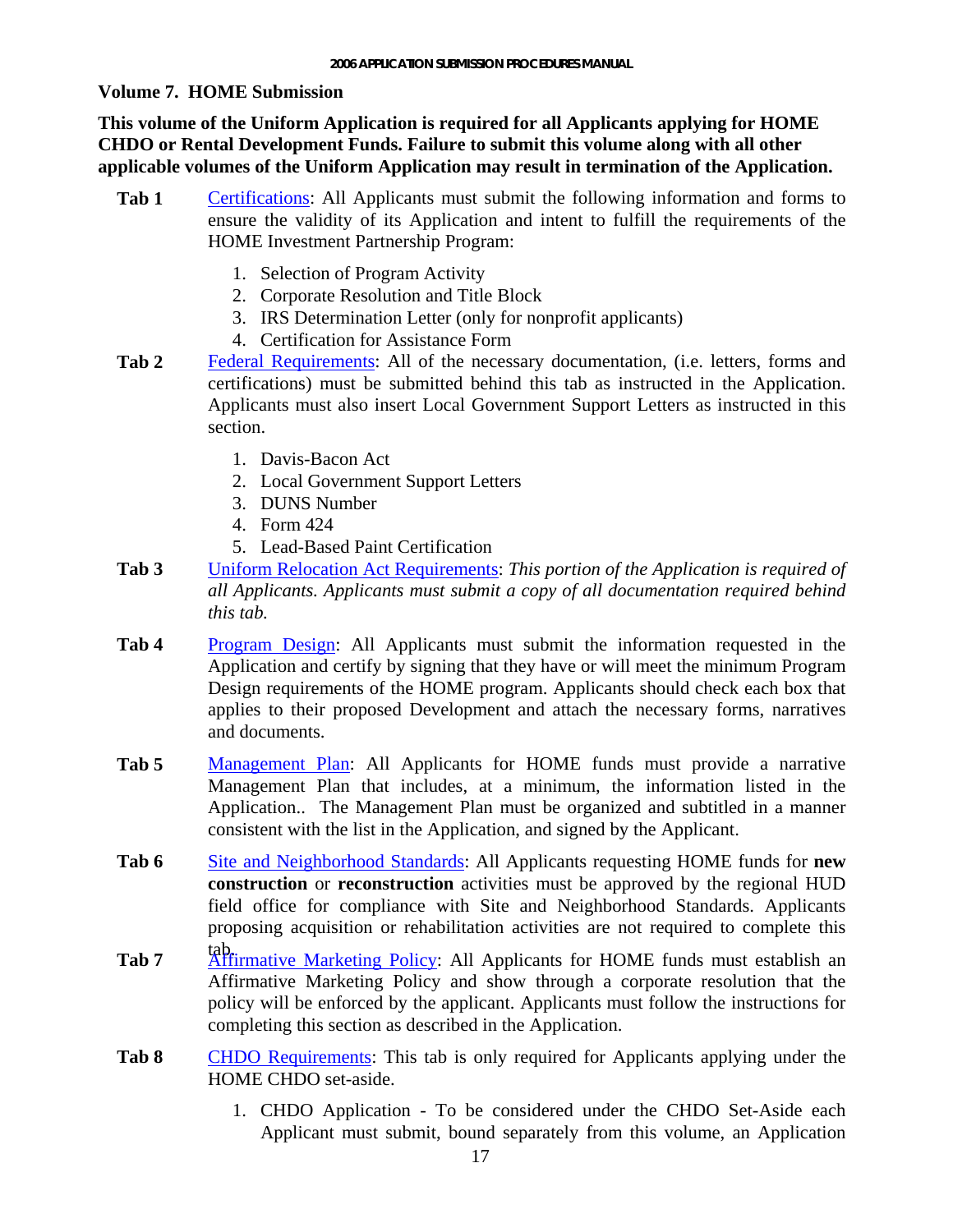#### <span id="page-16-0"></span>**Volume 7. HOME Submission**

**This volume of the Uniform Application is required for all Applicants applying for HOME CHDO or Rental Development Funds. Failure to submit this volume along with all other applicable volumes of the Uniform Application may result in termination of the Application.** 

- **Tab 1** Certifications: All Applicants must submit the following information and forms to ensure the validity of its Application and intent to fulfill the requirements of the HOME Investment Partnership Program:
	- 1. Selection of Program Activity
	- 2. Corporate Resolution and Title Block
	- 3. IRS Determination Letter (only for nonprofit applicants)
	- 4. Certification for Assistance Form
- Federal Requirements: All of the necessary documentation, (i.e. letters, forms and certifications) must be submitted behind this tab as instructed in the Application. Applicants must also insert Local Government Support Letters as instructed in this section. **Tab 2** 
	- 1. Davis-Bacon Act
	- 2. Local Government Support Letters
	- 3. DUNS Number
	- 4. Form 424
	- 5. Lead-Based Paint Certification
- Uniform Relocation Act Requirements: *This portion of the Application is required of all Applicants. Applicants must submit a copy of all documentation required behind this tab.*  **Tab 3**
- **Tab 4** Program Design: All Applicants must submit the information requested in the Application and certify by signing that they have or will meet the minimum Program Design requirements of the HOME program. Applicants should check each box that applies to their proposed Development and attach the necessary forms, narratives and documents.
- **Tab 5** Management Plan: All Applicants for HOME funds must provide a narrative Management Plan that includes, at a minimum, the information listed in the Application.. The Management Plan must be organized and subtitled in a manner consistent with the list in the Application, and signed by the Applicant.
- Tab 6 **Site and Neighborhood Standards:** All Applicants requesting HOME funds for **new construction** or **reconstruction** activities must be approved by the regional HUD field office for compliance with Site and Neighborhood Standards. Applicants proposing acquisition or rehabilitation activities are not required to complete this
- tab. Affirmative Marketing Policy: All Applicants for HOME funds must establish an Affirmative Marketing Policy and show through a corporate resolution that the policy will be enforced by the applicant. Applicants must follow the instructions for completing this section as described in the Application. **Tab 7**
- **Tab 8** CHDO Requirements: This tab is only required for Applicants applying under the HOME CHDO set-aside.
	- 1. CHDO Application To be considered under the CHDO Set-Aside each Applicant must submit, bound separately from this volume, an Application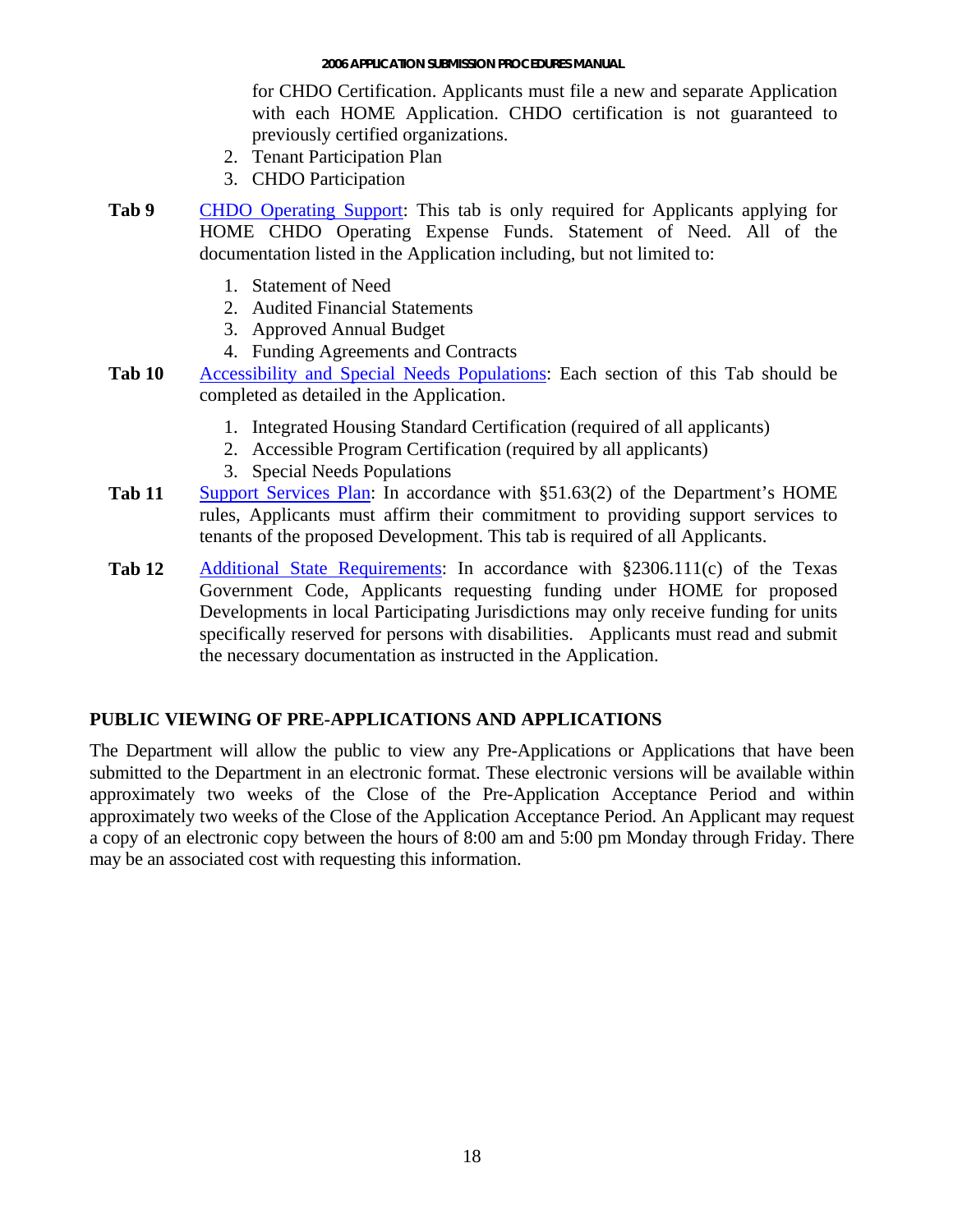for CHDO Certification. Applicants must file a new and separate Application with each HOME Application. CHDO certification is not guaranteed to previously certified organizations.

- 2. Tenant Participation Plan
- 3. CHDO Participation
- <span id="page-17-0"></span>**Tab 9** CHDO Operating Support: This tab is only required for Applicants applying for HOME CHDO Operating Expense Funds. Statement of Need. All of the documentation listed in the Application including, but not limited to:
	- 1. Statement of Need
	- 2. Audited Financial Statements
	- 3. Approved Annual Budget
	- 4. Funding Agreements and Contracts
- Tab 10 Accessibility and Special Needs Populations: Each section of this Tab should be completed as detailed in the Application.
	- 1. Integrated Housing Standard Certification (required of all applicants)
	- 2. Accessible Program Certification (required by all applicants)
	- 3. Special Needs Populations
- **Tab 11** Support Services Plan: In accordance with §51.63(2) of the Department's HOME rules, Applicants must affirm their commitment to providing support services to tenants of the proposed Development. This tab is required of all Applicants.
- Tab 12 Additional State Requirements: In accordance with §2306.111(c) of the Texas Government Code, Applicants requesting funding under HOME for proposed Developments in local Participating Jurisdictions may only receive funding for units specifically reserved for persons with disabilities. Applicants must read and submit the necessary documentation as instructed in the Application.

## **PUBLIC VIEWING OF PRE-APPLICATIONS AND APPLICATIONS**

The Department will allow the public to view any Pre-Applications or Applications that have been submitted to the Department in an electronic format. These electronic versions will be available within approximately two weeks of the Close of the Pre-Application Acceptance Period and within approximately two weeks of the Close of the Application Acceptance Period. An Applicant may request a copy of an electronic copy between the hours of 8:00 am and 5:00 pm Monday through Friday. There may be an associated cost with requesting this information.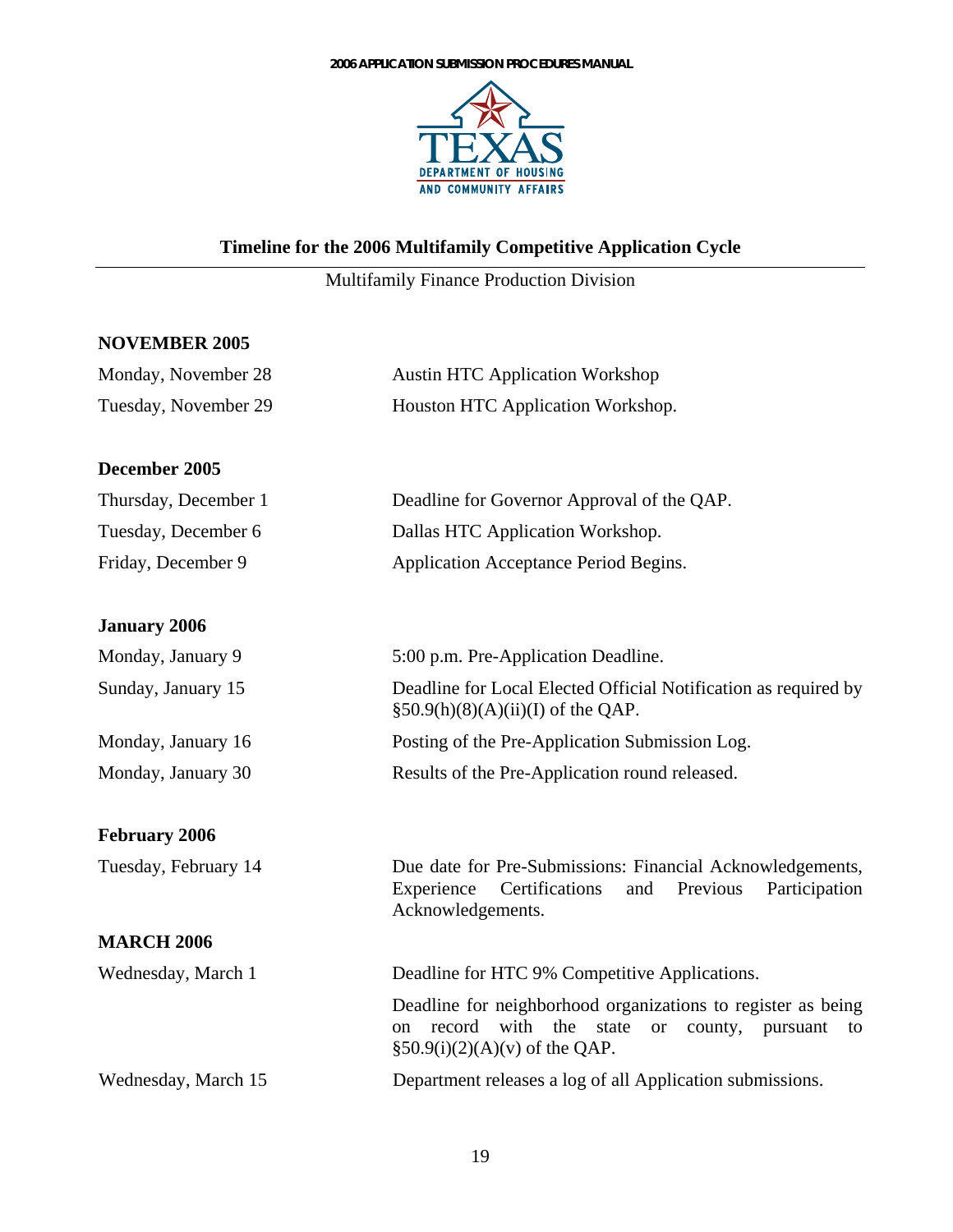

# <span id="page-18-0"></span>**Timeline for the 2006 Multifamily Competitive Application Cycle**

# Multifamily Finance Production Division

#### **NOVEMBER 2005**

| Monday, November 28  | <b>Austin HTC Application Workshop</b>                                                                                                                                            |
|----------------------|-----------------------------------------------------------------------------------------------------------------------------------------------------------------------------------|
| Tuesday, November 29 | Houston HTC Application Workshop.                                                                                                                                                 |
| December 2005        |                                                                                                                                                                                   |
| Thursday, December 1 | Deadline for Governor Approval of the QAP.                                                                                                                                        |
| Tuesday, December 6  | Dallas HTC Application Workshop.                                                                                                                                                  |
| Friday, December 9   | Application Acceptance Period Begins.                                                                                                                                             |
| <b>January 2006</b>  |                                                                                                                                                                                   |
| Monday, January 9    | 5:00 p.m. Pre-Application Deadline.                                                                                                                                               |
| Sunday, January 15   | Deadline for Local Elected Official Notification as required by<br>$\S50.9(h)(8)(A)(ii)(I)$ of the QAP.                                                                           |
| Monday, January 16   | Posting of the Pre-Application Submission Log.                                                                                                                                    |
| Monday, January 30   | Results of the Pre-Application round released.                                                                                                                                    |
| <b>February 2006</b> |                                                                                                                                                                                   |
| Tuesday, February 14 | Due date for Pre-Submissions: Financial Acknowledgements,<br>Experience<br>Certifications<br>Previous<br>Participation<br>and<br>Acknowledgements.                                |
| <b>MARCH 2006</b>    |                                                                                                                                                                                   |
| Wednesday, March 1   | Deadline for HTC 9% Competitive Applications.                                                                                                                                     |
|                      | Deadline for neighborhood organizations to register as being<br>with<br>record<br>the<br>state<br>on<br><b>or</b><br>county,<br>pursuant<br>to<br>$§50.9(i)(2)(A)(v)$ of the QAP. |
| Wednesday, March 15  | Department releases a log of all Application submissions.                                                                                                                         |